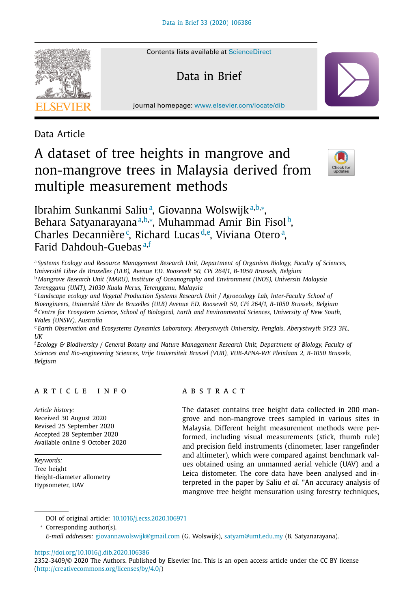

Contents lists available at [ScienceDirect](http://www.ScienceDirect.com)

Data in Brief

journal homepage: [www.elsevier.com/locate/dib](http://www.elsevier.com/locate/dib)

Data Article

# A dataset of tree heights in mangrove and non-mangrove trees in Malaysia derived from multiple measurement methods



Ibrahim Sunkanmi Saliuª, Giovanna Wolswijkª<sup>,b,</sup>\*, Behara Satyanarayana<sup>a,b,</sup>∗, Muhammad Amir Bin Fisol<sup>b</sup>, Charles Decannière<sup>c</sup>, Richard Lucas<sup>d,e</sup>, Viviana Otero<sup>a</sup>, Farid Dahdouh-Guebas a,f

<sup>a</sup> *Systems Ecology and Resource Management Research Unit, Department of Organism Biology, Faculty of Sciences, Université Libre de Bruxelles (ULB), Avenue F.D. Roosevelt 50, CPi 264/1, B-1050 Brussels, Belgium* <sup>b</sup> *Mangrove Research Unit (MARU), Institute of Oceanography and Environment (INOS), Universiti Malaysia Terengganu (UMT), 21030 Kuala Nerus, Terengganu, Malaysia*

<sup>c</sup> *Landscape ecology and Vegetal Production Systems Research Unit / Agroecology Lab, Inter-Faculty School of Bioengineers, Université Libre de Bruxelles (ULB) Avenue F.D. Roosevelt 50, CPi 264/1, B-1050 Brussels, Belgium* <sup>d</sup> *Centre for Ecosystem Science, School of Biological, Earth and Environmental Sciences, University of New South, Wales (UNSW), Australia*

<sup>e</sup> *Earth Observation and Ecosystems Dynamics Laboratory, Aberystwyth University, Penglais, Aberystwyth SY23 3FL, UK*

<sup>f</sup> *Ecology & Biodiversity / General Botany and Nature Management Research Unit, Department of Biology, Faculty of Sciences and Bio-engineering Sciences, Vrije Universiteit Brussel (VUB), VUB-APNA-WE Pleinlaan 2, B-1050 Brussels, Belgium*

# a r t i c l e i n f o

*Article history:* Received 30 August 2020 Revised 25 September 2020 Accepted 28 September 2020 Available online 9 October 2020

*Keywords:* Tree height Height-diameter allometry Hypsometer, UAV

# A B S T R A C T

The dataset contains tree height data collected in 200 mangrove and non-mangrove trees sampled in various sites in Malaysia. Different height measurement methods were performed, including visual measurements (stick, thumb rule) and precision field instruments (clinometer, laser rangefinder and altimeter), which were compared against benchmark values obtained using an unmanned aerial vehicle (UAV) and a Leica distometer. The core data have been analysed and interpreted in the paper by Saliu *et al.* ''An accuracy analysis of mangrove tree height mensuration using forestry techniques,

DOI of original article: [10.1016/j.ecss.2020.106971](https://doi.org/10.1016/j.ecss.2020.106971)

<sup>∗</sup> Corresponding author(s).

*E-mail addresses:* [giovannawolswijk@gmail.com](mailto:giovannawolswijk@gmail.com) (G. Wolswijk), [satyam@umt.edu.my](mailto:satyam@umt.edu.my) (B. Satyanarayana).

<https://doi.org/10.1016/j.dib.2020.106386>

2352-3409/© 2020 The Authors. Published by Elsevier Inc. This is an open access article under the CC BY license [\(http://creativecommons.org/licenses/by/4.0/\)](http://creativecommons.org/licenses/by/4.0/)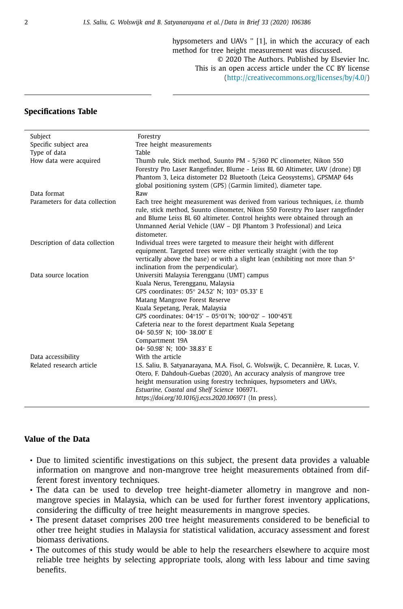hypsometers and UAVs " [1], in which the accuracy of each method for tree height measurement was discussed. © 2020 The Authors. Published by Elsevier Inc.

This is an open access article under the CC BY license [\(http://creativecommons.org/licenses/by/4.0/\)](http://creativecommons.org/licenses/by/4.0/)

## **Specifications Table**

| Subject                        | Forestry                                                                                                                                                                                                                                                                                                                                      |
|--------------------------------|-----------------------------------------------------------------------------------------------------------------------------------------------------------------------------------------------------------------------------------------------------------------------------------------------------------------------------------------------|
| Specific subject area          | Tree height measurements                                                                                                                                                                                                                                                                                                                      |
| Type of data                   | Table                                                                                                                                                                                                                                                                                                                                         |
| How data were acquired         | Thumb rule, Stick method, Suunto PM - 5/360 PC clinometer, Nikon 550<br>Forestry Pro Laser Rangefinder, Blume - Leiss BL 60 Altimeter, UAV (drone) DJI<br>Phantom 3, Leica distometer D2 Bluetooth (Leica Geosystems), GPSMAP 64s<br>global positioning system (GPS) (Garmin limited), diameter tape.                                         |
| Data format                    | Raw                                                                                                                                                                                                                                                                                                                                           |
| Parameters for data collection | Each tree height measurement was derived from various techniques, <i>i.e.</i> thumb<br>rule, stick method, Suunto clinometer, Nikon 550 Forestry Pro laser rangefinder<br>and Blume Leiss BL 60 altimeter. Control heights were obtained through an<br>Unmanned Aerial Vehicle (UAV - DJI Phantom 3 Professional) and Leica<br>distometer.    |
| Description of data collection | Individual trees were targeted to measure their height with different<br>equipment. Targeted trees were either vertically straight (with the top<br>vertically above the base) or with a slight lean (exhibiting not more than 5°<br>inclination from the perpendicular).                                                                     |
| Data source location           | Universiti Malaysia Terengganu (UMT) campus                                                                                                                                                                                                                                                                                                   |
|                                | Kuala Nerus, Terengganu, Malaysia                                                                                                                                                                                                                                                                                                             |
|                                | GPS coordinates: 05° 24.52' N; 103° 05.33' E                                                                                                                                                                                                                                                                                                  |
|                                | Matang Mangrove Forest Reserve                                                                                                                                                                                                                                                                                                                |
|                                | Kuala Sepetang, Perak, Malaysia                                                                                                                                                                                                                                                                                                               |
|                                | GPS coordinates: 04°15' - 05°01'N; 100°02' - 100°45'E                                                                                                                                                                                                                                                                                         |
|                                | Cafeteria near to the forest department Kuala Sepetang                                                                                                                                                                                                                                                                                        |
|                                | 04° 50.59' N: 100° 38.00' E                                                                                                                                                                                                                                                                                                                   |
|                                | Compartment 19A                                                                                                                                                                                                                                                                                                                               |
|                                | 04 50.98' N; 100 38.83' E                                                                                                                                                                                                                                                                                                                     |
| Data accessibility             | With the article                                                                                                                                                                                                                                                                                                                              |
| Related research article       | I.S. Saliu, B. Satyanarayana, M.A. Fisol, G. Wolswijk, C. Decannière, R. Lucas, V.<br>Otero, F. Dahdouh-Guebas (2020), An accuracy analysis of mangrove tree<br>height mensuration using forestry techniques, hypsometers and UAVs,<br>Estuarine, Coastal and Shelf Science 106971.<br>https://doi.org/10.1016/j.ecss.2020.106971 (In press). |
|                                |                                                                                                                                                                                                                                                                                                                                               |

#### **Value of the Data**

- Due to limited scientific investigations on this subject, the present data provides a valuable information on mangrove and non-mangrove tree height measurements obtained from different forest inventory techniques.
- The data can be used to develop tree height-diameter allometry in mangrove and nonmangrove species in Malaysia, which can be used for further forest inventory applications, considering the difficulty of tree height measurements in mangrove species.
- The present dataset comprises 200 tree height measurements considered to be beneficial to other tree height studies in Malaysia for statistical validation, accuracy assessment and forest biomass derivations.
- The outcomes of this study would be able to help the researchers elsewhere to acquire most reliable tree heights by selecting appropriate tools, along with less labour and time saving benefits.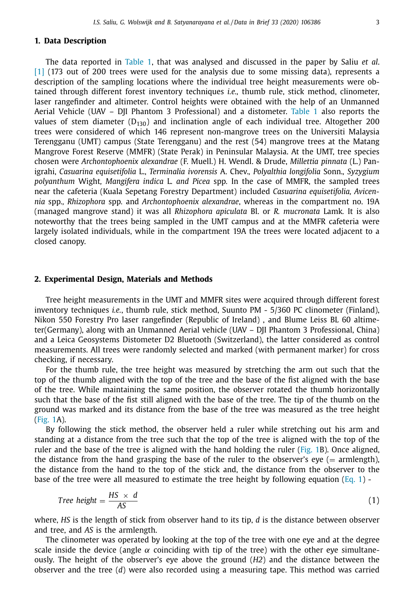#### **1. Data Description**

The data reported in [Table](#page-3-0) 1, that was analysed and discussed in the paper by Saliu *et al*. [\[1\]](#page-9-0) (173 out of 200 trees were used for the analysis due to some missing data), represents a description of the sampling locations where the individual tree height measurements were obtained through different forest inventory techniques *i.e.,* thumb rule, stick method, clinometer, laser rangefinder and altimeter. Control heights were obtained with the help of an Unmanned Aerial Vehicle (UAV – DJI Phantom 3 Professional) and a distometer. [Table](#page-3-0) 1 also reports the values of stem diameter  $(D_{130})$  and inclination angle of each individual tree. Altogether 200 trees were considered of which 146 represent non-mangrove trees on the Universiti Malaysia Terengganu (UMT) campus (State Terengganu) and the rest (54) mangrove trees at the Matang Mangrove Forest Reserve (MMFR) (State Perak) in Peninsular Malaysia. At the UMT, tree species chosen were *Archontophoenix alexandrae* (F. Muell.) H. Wendl. & Drude, *Millettia pinnata* (L.) Panigrahi, *Casuarina equisetifolia* L., *Terminalia ivorensis* A. Chev.*, Polyalthia longifolia* Sonn.*, Syzygium polyanthum* Wight*, Mangifera indica* L*. and Picea* spp*.* In the case of MMFR, the sampled trees near the cafeteria (Kuala Sepetang Forestry Department) included *Casuarina equisetifolia, Avicennia* spp*., Rhizophora* spp*.* and *Archontophoenix alexandrae*, whereas in the compartment no. 19A (managed mangrove stand) it was all *Rhizophora apiculata* Bl. or *R. mucronata* Lamk*.* It is also noteworthy that the trees being sampled in the UMT campus and at the MMFR cafeteria were largely isolated individuals, while in the compartment 19A the trees were located adjacent to a closed canopy.

#### **2. Experimental Design, Materials and Methods**

Tree height measurements in the UMT and MMFR sites were acquired through different forest inventory techniques *i.e.*, thumb rule, stick method, Suunto PM - 5/360 PC clinometer (Finland), Nikon 550 Forestry Pro laser rangefinder (Republic of Ireland) , and Blume Leiss BL 60 altimeter(Germany), along with an Unmanned Aerial vehicle (UAV – DJI Phantom 3 Professional, China) and a Leica Geosystems Distometer D2 Bluetooth (Switzerland), the latter considered as control measurements. All trees were randomly selected and marked (with permanent marker) for cross checking, if necessary.

For the thumb rule, the tree height was measured by stretching the arm out such that the top of the thumb aligned with the top of the tree and the base of the fist aligned with the base of the tree. While maintaining the same position, the observer rotated the thumb horizontally such that the base of the fist still aligned with the base of the tree. The tip of the thumb on the ground was marked and its distance from the base of the tree was measured as the tree height [\(Fig.](#page-7-0) 1A).

By following the stick method, the observer held a ruler while stretching out his arm and standing at a distance from the tree such that the top of the tree is aligned with the top of the ruler and the base of the tree is aligned with the hand holding the ruler [\(Fig.](#page-7-0) 1B). Once aligned, the distance from the hand grasping the base of the ruler to the observer's eye  $(=$  armlength), the distance from the hand to the top of the stick and, the distance from the observer to the base of the tree were all measured to estimate the tree height by following equation (Eq. 1) -

$$
Tree height = \frac{HS \times d}{AS} \tag{1}
$$

where, *HS* is the length of stick from observer hand to its tip, *d* is the distance between observer and tree, and *AS* is the armlength.

The clinometer was operated by looking at the top of the tree with one eye and at the degree scale inside the device (angle  $\alpha$  coinciding with tip of the tree) with the other eye simultaneously. The height of the observer's eye above the ground (*H2*) and the distance between the observer and the tree (*d*) were also recorded using a measuring tape. This method was carried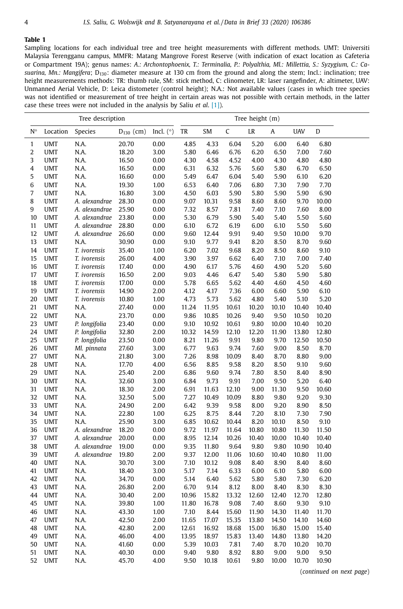#### <span id="page-3-0"></span>**Table 1**

Sampling locations for each individual tree and tree height measurements with different methods. UMT: Universiti Malaysia Terengganu campus, MMFR: Matang Mangrove Forest Reserve (with indication of exact location as Cafeteria or Compartment 19A); genus names: *A.: Archontophoenix, T.: Terminalia, P.: Polyalthia, Ml.: Millettia, S.: Syzygium, C.: Ca*suarina, *Mn.: Mangifera*; D<sub>130</sub>: diameter measure at 130 cm from the ground and along the stem; Incl.: inclination; tree height measurements methods: TR: thumb rule, SM: stick method, C: clinometer, LR: laser rangefinder, A: altimeter, UAV: Unmanned Aerial Vehicle, D: Leica distometer (control height); N.A.: Not available values (cases in which tree species was not identified or measurement of tree height in certain areas was not possible with certain methods, in the latter case these trees were not included in the analysis by Saliu *et al*. [\[1\]\)](#page-9-0).

|                    | Tree description |               |                |             |       | Tree height (m) |       |       |       |            |       |  |
|--------------------|------------------|---------------|----------------|-------------|-------|-----------------|-------|-------|-------|------------|-------|--|
| $\mathsf{N}^\circ$ | Location         | Species       | $D_{130}$ (cm) | Incl. $(°)$ | TR    | <b>SM</b>       | C     | LR    | Α     | <b>UAV</b> | D     |  |
| $\mathbf{1}$       | <b>UMT</b>       | N.A.          | 20.70          | 0.00        | 4.85  | 4.33            | 6.04  | 5.20  | 6.00  | 6.40       | 6.80  |  |
| $\overline{2}$     | <b>UMT</b>       | N.A.          | 18.20          | 3.00        | 5.80  | 6.46            | 6.76  | 6.20  | 6.50  | 7.00       | 7.60  |  |
| 3                  | <b>UMT</b>       | N.A.          | 16.50          | 0.00        | 4.30  | 4.58            | 4.52  | 4.00  | 4.30  | 4.80       | 4.80  |  |
| 4                  | <b>UMT</b>       | N.A.          | 16.50          | 0.00        | 6.31  | 6.32            | 5.76  | 5.60  | 5.80  | 6.70       | 6.50  |  |
| 5                  | <b>UMT</b>       | N.A.          | 16.60          | 0.00        | 5.49  | 6.47            | 6.04  | 5.40  | 5.90  | 6.10       | 6.20  |  |
| 6                  | <b>UMT</b>       | N.A.          | 19.30          | 1.00        | 6.53  | 6.40            | 7.06  | 6.80  | 7.30  | 7.90       | 7.70  |  |
| 7                  | <b>UMT</b>       | N.A.          | 16.80          | 3.00        | 4.50  | 6.03            | 5.90  | 5.80  | 5.90  | 5.90       | 6.90  |  |
| 8                  | <b>UMT</b>       | A. alexandrae | 28.30          | 0.00        | 9.07  | 10.31           | 9.58  | 8.60  | 8.60  | 9.70       | 10.00 |  |
| 9                  | <b>UMT</b>       | A. alexandrae | 25.90          | 0.00        | 7.32  | 8.57            | 7.81  | 7.40  | 7.10  | 7.60       | 8.00  |  |
| 10                 | <b>UMT</b>       | A. alexandrae | 23.80          | 0.00        | 5.30  | 6.79            | 5.90  | 5.40  | 5.40  | 5.50       | 5.60  |  |
| 11                 | <b>UMT</b>       | A. alexandrae | 28.80          | 0.00        | 6.10  | 6.72            | 6.19  | 6.00  | 6.10  | 5.50       | 5.60  |  |
| 12                 | <b>UMT</b>       | A. alexandrae | 26.60          | 0.00        | 9.60  | 12.44           | 9.91  | 9.40  | 9.50  | 10.00      | 9.70  |  |
| 13                 | <b>UMT</b>       | N.A.          | 30.90          | 0.00        | 9.10  | 9.77            | 9.41  | 8.20  | 8.50  | 8.70       | 9.60  |  |
| 14                 | <b>UMT</b>       | T. ivorensis  | 35.40          | 1.00        | 6.20  | 7.02            | 9.68  | 8.20  | 8.50  | 8.60       | 9.10  |  |
| 15                 | <b>UMT</b>       | T. ivorensis  | 26.00          | 4.00        | 3.90  | 3.97            | 6.62  | 6.40  | 7.10  | 7.00       | 7.40  |  |
| 16                 | <b>UMT</b>       | T. ivorensis  | 17.40          | 0.00        | 4.90  | 6.17            | 5.76  | 4.60  | 4.90  | 5.20       | 5.60  |  |
| 17                 | <b>UMT</b>       | T. ivorensis  | 16.50          | 2.00        | 9.03  | 4.46            | 6.47  | 5.40  | 5.80  | 5.90       | 5.80  |  |
| 18                 | <b>UMT</b>       | T. ivorensis  | 17.00          | 0.00        | 5.78  | 6.65            | 5.62  | 4.40  | 4.60  | 4.50       | 4.60  |  |
| 19                 | <b>UMT</b>       | T. ivorensis  | 14.90          | 2.00        | 4.12  | 4.17            | 7.36  | 6.00  | 6.60  | 5.90       | 6.10  |  |
| 20                 | <b>UMT</b>       | T. ivorensis  | 10.80          | 1.00        | 4.73  | 5.73            | 5.62  | 4.80  | 5.40  | 5.10       | 5.20  |  |
| 21                 | <b>UMT</b>       | N.A.          | 27.40          | 0.00        | 11.24 | 11.95           | 10.61 | 10.20 | 10.10 | 10.40      | 10.40 |  |
| 22                 | <b>UMT</b>       | N.A.          | 23.70          | 0.00        | 9.86  | 10.85           | 10.26 | 9.40  | 9.50  | 10.50      | 10.20 |  |
| 23                 | <b>UMT</b>       | P. longifolia | 23.40          | 0.00        | 9.10  | 10.92           | 10.61 | 9.80  | 10.00 | 10.40      | 10.20 |  |
| 24                 | <b>UMT</b>       | P. longifolia | 32.80          | 2.00        | 10.32 | 14.59           | 12.10 | 12.20 | 11.90 | 13.80      | 12.80 |  |
| 25                 | <b>UMT</b>       | P. longifolia | 23.50          | 0.00        | 8.21  | 11.26           | 9.91  | 9.80  | 9.70  | 12.50      | 10.50 |  |
| 26                 | <b>UMT</b>       | Ml. pinnata   | 27.60          | 3.00        | 6.77  | 9.63            | 9.74  | 7.60  | 9.00  | 8.50       | 8.70  |  |
| 27                 | <b>UMT</b>       | N.A.          | 21.80          | 3.00        | 7.26  | 8.98            | 10.09 | 8.40  | 8.70  | 8.80       | 9.00  |  |
| 28                 | <b>UMT</b>       | N.A.          | 17.70          | 4.00        | 6.56  | 8.85            | 9.58  | 8.20  | 8.50  | 9.10       | 9.60  |  |
| 29                 | <b>UMT</b>       | N.A.          | 25.40          | 2.00        | 6.86  | 9.60            | 9.74  | 7.80  | 8.50  | 8.40       | 8.90  |  |
| 30                 | <b>UMT</b>       | N.A.          | 32.60          | 3.00        | 6.84  | 9.73            | 9.91  | 7.00  | 9.50  | 5.20       | 6.40  |  |
| 31                 | <b>UMT</b>       | N.A.          | 18.30          | 2.00        | 6.91  | 11.63           | 12.10 | 9.00  | 11.30 | 9.50       | 10.60 |  |
| 32                 | <b>UMT</b>       | N.A.          | 32.50          | 5.00        | 7.27  | 10.49           | 10.09 | 8.80  | 9.80  | 9.20       | 9.30  |  |
| 33                 | <b>UMT</b>       | N.A.          | 24.90          | 2.00        | 6.42  | 9.39            | 9.58  | 8.00  | 9.20  | 8.90       | 8.50  |  |
| 34                 | <b>UMT</b>       | N.A.          | 22.80          | 1.00        | 6.25  | 8.75            | 8.44  | 7.20  | 8.10  | 7.30       | 7.90  |  |
| 35                 | <b>UMT</b>       | N.A.          | 25.90          | 3.00        | 6.85  | 10.62           | 10.44 | 8.20  | 10.10 | 8.50       | 9.10  |  |
| 36                 | <b>UMT</b>       | A. alexandrae | 18.20          | 0.00        | 9.72  | 11.97           | 11.64 | 10.80 | 10.80 | 11.30      | 11.50 |  |
| 37                 | <b>UMT</b>       | A. alexandrae | 20.00          | 0.00        | 8.95  | 12.14           | 10.26 | 10.40 | 10.00 | 10.40      | 10.40 |  |
| 38                 | <b>UMT</b>       | A. alexandrae | 19.00          | 0.00        | 9.35  | 11.80           | 9.64  | 9.80  | 9.80  | 10.90      | 10.40 |  |
| 39                 | <b>UMT</b>       | A. alexandrae | 19.80          | 2.00        | 9.37  | 12.00           | 11.06 | 10.60 | 10.40 | 10.80      | 11.00 |  |
| 40                 | <b>UMT</b>       | N.A.          | 30.70          | 3.00        | 7.10  | 10.12           | 9.08  | 8.40  | 8.90  | 8.40       | 8.60  |  |
| 41                 | <b>UMT</b>       | N.A.          | 18.40          | 3.00        | 5.17  | 7.14            | 6.33  | 6.00  | 6.10  | 5.80       | 6.00  |  |
| 42                 | <b>UMT</b>       | N.A.          | 34.70          | 0.00        | 5.14  | 6.40            | 5.62  | 5.80  | 5.80  | 7.30       | 6.20  |  |
| 43                 | <b>UMT</b>       | N.A.          | 26.80          | 2.00        | 6.70  | 9.14            | 8.12  | 8.00  | 8.40  | 8.30       | 8.30  |  |
| 44                 | <b>UMT</b>       | N.A.          | 30.40          | 2.00        | 10.96 | 15.82           | 13.32 | 12.60 | 12.40 | 12.70      | 12.80 |  |
| 45                 | <b>UMT</b>       | N.A.          | 39.80          | 1.00        | 11.80 | 16.78           | 9.08  | 7.40  | 8.60  | 9.30       | 9.10  |  |
| 46                 | <b>UMT</b>       | N.A.          | 43.30          | 1.00        | 7.10  | 8.44            | 15.60 | 11.90 | 14.30 | 11.40      | 11.70 |  |
| 47                 | <b>UMT</b>       | N.A.          | 42.50          | 2.00        | 11.65 | 17.07           | 15.35 | 13.80 | 14.50 | 14.10      | 14.60 |  |
| 48                 | <b>UMT</b>       | N.A.          | 42.80          | 2.00        | 12.61 | 16.92           | 18.68 | 15.00 | 16.80 | 15.00      | 15.40 |  |
| 49                 | <b>UMT</b>       | N.A.          | 46.00          | 4.00        | 13.95 | 18.97           | 15.83 | 13.40 | 14.80 | 13.80      | 14.20 |  |
| 50                 | <b>UMT</b>       | N.A.          | 41.60          | 0.00        | 5.39  | 10.03           | 7.81  | 7.40  | 8.70  | 10.20      | 10.70 |  |
| 51                 | <b>UMT</b>       | N.A.          | 40.30          | 0.00        | 9.40  | 9.80            | 8.92  | 8.80  | 9.00  | 9.00       | 9.50  |  |
| 52                 | <b>UMT</b>       | N.A.          | 45.70          | 4.00        | 9.50  | 10.18           | 10.61 | 9.80  | 10.00 | 10.70      | 10.90 |  |

(*continued on next page*)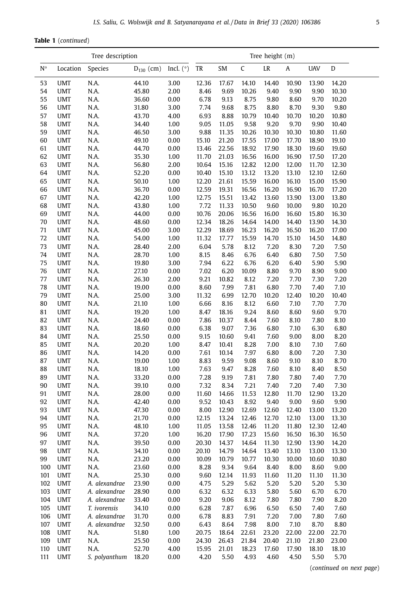**Table 1** (*continued*)

|             | Tree description         |                               |                          |              |                | Tree height (m) |                |                |                |                |                |  |
|-------------|--------------------------|-------------------------------|--------------------------|--------------|----------------|-----------------|----------------|----------------|----------------|----------------|----------------|--|
| $N^{\circ}$ | Location                 | Species                       | $D_{130}$ (cm) Incl. (°) |              | TR             | SM              | C              | LR             | A              | <b>UAV</b>     | D              |  |
| 53          | <b>UMT</b>               | N.A.                          | 44.10                    | 3.00         | 12.36          | 17.67           | 14.10          | 14.40          | 10.90          | 13.90          | 14.20          |  |
| 54          | <b>UMT</b>               | N.A.                          | 45.80                    | 2.00         | 8.46           | 9.69            | 10.26          | 9.40           | 9.90           | 9.90           | 10.30          |  |
| 55          | <b>UMT</b>               | N.A.                          | 36.60                    | 0.00         | 6.78           | 9.13            | 8.75           | 9.80           | 8.60           | 9.70           | 10.20          |  |
| 56          | <b>UMT</b>               | N.A.                          | 31.80                    | 3.00         | 7.74           | 9.68            | 8.75           | 8.80           | 8.70           | 9.30           | 9.80           |  |
| 57          | <b>UMT</b>               | N.A.                          | 43.70                    | 4.00         | 6.93           | 8.88            | 10.79          | 10.40          | 10.70          | 10.20          | 10.80          |  |
| 58          | <b>UMT</b>               | N.A.                          | 34.40                    | 1.00         | 9.05           | 11.05           | 9.58           | 9.20           | 9.70           | 9.90           | 10.40          |  |
| 59          | <b>UMT</b>               | N.A.                          | 46.50                    | 3.00         | 9.88           | 11.35           | 10.26          | 10.30          | 10.30          | 10.80          | 11.60          |  |
| 60<br>61    | <b>UMT</b><br><b>UMT</b> | N.A.<br>N.A.                  | 49.10<br>44.70           | 0.00<br>0.00 | 15.10<br>13.46 | 21.20<br>22.56  | 17.55<br>18.92 | 17.00<br>17.90 | 17.70<br>18.30 | 18.90<br>19.60 | 19.10<br>19.60 |  |
| 62          | <b>UMT</b>               | N.A.                          | 35.30                    | 1.00         | 11.70          | 21.03           | 16.56          | 16.00          | 16.90          | 17.50          | 17.20          |  |
| 63          | <b>UMT</b>               | N.A.                          | 56.80                    | 2.00         | 10.64          | 15.16           | 12.82          | 12.00          | 12.00          | 11.70          | 12.30          |  |
| 64          | <b>UMT</b>               | N.A.                          | 52.20                    | 0.00         | 10.40          | 15.10           | 13.12          | 13.20          | 13.10          | 12.10          | 12.60          |  |
| 65          | <b>UMT</b>               | N.A.                          | 50.10                    | 1.00         | 12.20          | 21.61           | 15.59          | 16.00          | 16.10          | 15.00          | 15.90          |  |
| 66          | <b>UMT</b>               | N.A.                          | 36.70                    | 0.00         | 12.59          | 19.31           | 16.56          | 16.20          | 16.90          | 16.70          | 17.20          |  |
| 67          | <b>UMT</b>               | N.A.                          | 42.20                    | 1.00         | 12.75          | 15.51           | 13.42          | 13.60          | 13.90          | 13.00          | 13.80          |  |
| 68          | <b>UMT</b>               | N.A.                          | 43.80                    | 1.00         | 7.72           | 11.33           | 10.50          | 9.60           | 10.00          | 9.80           | 10.20          |  |
| 69          | <b>UMT</b>               | N.A.                          | 44.00                    | 0.00         | 10.76          | 20.06           | 16.56          | 16.00          | 16.60          | 15.80          | 16.30          |  |
| 70          | <b>UMT</b>               | N.A.                          | 48.60                    | 0.00         | 12.34          | 18.26           | 14.64          | 14.00          | 14.40          | 13.90          | 14.30          |  |
| 71          | <b>UMT</b>               | N.A.                          | 45.00                    | 3.00         | 12.29          | 18.69           | 16.23          | 16.20          | 16.50          | 16.20          | 17.00          |  |
| 72          | <b>UMT</b>               | N.A.                          | 54.00                    | 1.00         | 11.32          | 17.77           | 15.59          | 14.70          | 15.10          | 14.50          | 14.80          |  |
| 73          | <b>UMT</b>               | N.A.                          | 28.40                    | 2.00         | 6.04           | 5.78            | 8.12           | 7.20           | 8.30           | 7.20           | 7.50           |  |
| 74          | <b>UMT</b>               | N.A.                          | 28.70                    | 1.00         | 8.15           | 8.46            | 6.76           | 6.40           | 6.80           | 7.50           | 7.50           |  |
| 75          | <b>UMT</b>               | N.A.                          | 19.80                    | 3.00         | 7.94<br>7.02   | 6.22            | 6.76           | 6.20           | 6.40           | 5.90           | 5.90           |  |
| 76<br>77    | <b>UMT</b><br><b>UMT</b> | N.A.<br>N.A.                  | 27.10<br>26.30           | 0.00<br>2.00 | 9.21           | 6.20<br>10.82   | 10.09<br>8.12  | 8.80<br>7.20   | 9.70<br>7.70   | 8.90<br>7.30   | 9.00<br>7.20   |  |
| 78          | <b>UMT</b>               | N.A.                          | 19.00                    | 0.00         | 8.60           | 7.99            | 7.81           | 6.80           | 7.70           | 7.40           | 7.10           |  |
| 79          | <b>UMT</b>               | N.A.                          | 25.00                    | 3.00         | 11.32          | 6.99            | 12.70          | 10.20          | 12.40          | 10.20          | 10.40          |  |
| 80          | <b>UMT</b>               | N.A.                          | 21.10                    | 1.00         | 6.66           | 8.16            | 8.12           | 6.60           | 7.10           | 7.70           | 7.70           |  |
| 81          | <b>UMT</b>               | N.A.                          | 19.20                    | 1.00         | 8.47           | 18.16           | 9.24           | 8.60           | 8.60           | 9.60           | 9.70           |  |
| 82          | <b>UMT</b>               | N.A.                          | 24.40                    | 0.00         | 7.86           | 10.37           | 8.44           | 7.60           | 8.10           | 7.80           | 8.10           |  |
| 83          | <b>UMT</b>               | N.A.                          | 18.60                    | 0.00         | 6.38           | 9.07            | 7.36           | 6.80           | 7.10           | 6.30           | 6.80           |  |
| 84          | <b>UMT</b>               | N.A.                          | 25.50                    | 0.00         | 9.15           | 10.60           | 9.41           | 7.60           | 9.00           | 8.00           | 8.20           |  |
| 85          | <b>UMT</b>               | N.A.                          | 20.20                    | 1.00         | 8.47           | 10.41           | 8.28           | 7.00           | 8.10           | 7.10           | 7.60           |  |
| 86          | <b>UMT</b>               | N.A.                          | 14.20                    | 0.00         | 7.61           | 10.14           | 7.97           | 6.80           | 8.00           | 7.20           | 7.30           |  |
| 87          | <b>UMT</b>               | N.A.                          | 19.00                    | 1.00         | 8.83           | 9.59            | 9.08           | 8.60           | 9.10           | 8.10           | 8.70           |  |
| 88          | <b>UMT</b>               | N.A.                          | 18.10                    | 1.00         | 7.63           | 9.47            | 8.28           | 7.60           | 8.10           | 8.40           | 8.50           |  |
| 89          | <b>UMT</b>               | N.A.                          | 33.20                    | 0.00         | 7.28           | 9.19            | 7.81           | 7.80           | 7.80           | 7.40           | 7.70           |  |
| 90          | <b>UMT</b>               | N.A.                          | 39.10                    | 0.00         | 7.32<br>11.60  | 8.34            | 7.21<br>11.53  | 7.40<br>12.80  | 7.20           | 7.40<br>12.90  | 7.30           |  |
| 91<br>92    | <b>UMT</b><br><b>UMT</b> | N.A.<br>N.A.                  | 28.00<br>42.40           | 0.00<br>0.00 | 9.52           | 14.66<br>10.43  | 8.92           | 9.40           | 11.70<br>9.00  | 9.60           | 13.20<br>9.90  |  |
| 93          | <b>UMT</b>               | N.A.                          | 47.30                    | 0.00         | 8.00           | 12.90           | 12.69          | 12.60          | 12.40          | 13.00          | 13.20          |  |
| 94          | <b>UMT</b>               | N.A.                          | 21.70                    | 0.00         | 12.15          | 13.24           | 12.46          | 12.70          | 12.10          | 13.00          | 13.30          |  |
| 95          | <b>UMT</b>               | N.A.                          | 48.10                    | 1.00         | 11.05          | 13.58           | 12.46          | 11.20          | 11.80          | 12.30          | 12.40          |  |
| 96          | <b>UMT</b>               | N.A.                          | 37.20                    | 1.00         | 16.20          | 17.90           | 17.23          | 15.60          | 16.50          | 16.30          | 16.50          |  |
| 97          | <b>UMT</b>               | N.A.                          | 39.50                    | 0.00         | 20.30          | 14.37           | 14.64          | 11.30          | 12.90          | 13.90          | 14.20          |  |
| 98          | <b>UMT</b>               | N.A.                          | 34.10                    | 0.00         | 20.10          | 14.79           | 14.64          | 13.40          | 13.10          | 13.00          | 13.30          |  |
| 99          | <b>UMT</b>               | N.A.                          | 23.20                    | 0.00         | 10.09          | 10.79           | 10.77          | 10.30          | 10.00          | 10.60          | 10.80          |  |
| 100         | <b>UMT</b>               | N.A.                          | 23.60                    | 0.00         | 8.28           | 9.34            | 9.64           | 8.40           | 8.00           | 8.60           | 9.00           |  |
| 101         | UMT                      | N.A.                          | 25.30                    | 0.00         | 9.60           | 12.14           |                | 11.93 11.60    | 11.20          |                | 11.10 11.30    |  |
| 102         | <b>UMT</b>               | A. alexandrae                 | 23.90                    | 0.00         | 4.75           | 5.29            | 5.62           | 5.20           | 5.20           | 5.20           | 5.30           |  |
| 103         | <b>UMT</b>               | A. alexandrae                 | 28.90                    | 0.00         | 6.32           | 6.32            | 6.33           | 5.80           | 5.60           | 6.70           | 6.70           |  |
| 104         | <b>UMT</b>               | A. alexandrae                 | 33.40                    | 0.00         | 9.20           | 9.06            | 8.12           | 7.80           | 7.80           | 7.90           | 8.20           |  |
| 105<br>106  | <b>UMT</b><br><b>UMT</b> | T. ivorensis<br>A. alexandrae | 34.10                    | 0.00<br>0.00 | 6.28           | 7.87            | 6.96<br>7.91   | 6.50<br>7.20   | 6.50<br>7.00   | 7.40<br>7.80   | 7.60<br>7.60   |  |
| 107         | <b>UMT</b>               | A. alexandrae                 | 31.70<br>32.50           | 0.00         | 6.78<br>6.43   | 8.83<br>8.64    | 7.98           | 8.00           | 7.10           | 8.70           | 8.80           |  |
| 108         | <b>UMT</b>               | N.A.                          | 51.80                    | 1.00         | 20.75          | 18.64           | 22.61          | 23.20          | 22.00          | 22.00          | 22.70          |  |
| 109         | <b>UMT</b>               | N.A.                          | 25.50                    | 0.00         | 24.30          | 26.43           | 21.84          | 20.40          | 21.10          | 21.80          | 23.00          |  |
| 110         | <b>UMT</b>               | N.A.                          | 52.70                    | 4.00         | 15.95          | 21.01           | 18.23          | 17.60          | 17.90          | 18.10          | 18.10          |  |
| 111         | <b>UMT</b>               | S. polyanthum                 | 18.20                    | 0.00         | 4.20           | 5.50            | 4.93           | 4.60           | 4.50           | 5.50           | 5.70           |  |

(*continued on next page*)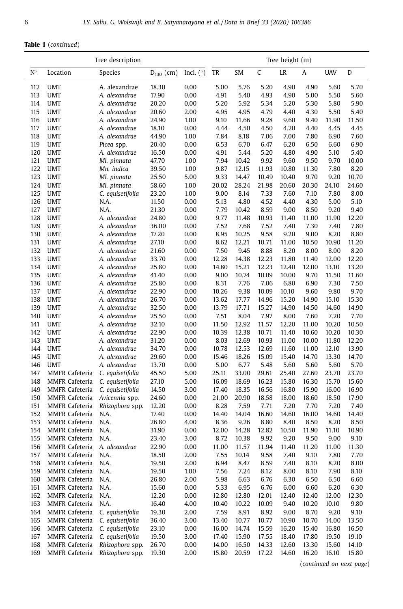**Table 1** (*continued*)

| C<br>$N^{\circ}$<br>Species<br>Incl. $(°)$<br>TR<br>SM<br>LR<br>Α<br><b>UAV</b><br>D<br>Location<br>$D_{130}$ (cm)<br>5.00<br>5.20<br>4.90<br>4.90<br>5.60<br>112<br><b>UMT</b><br>A. alexandrae<br>18.30<br>0.00<br>5.76<br>5.70<br>113<br>17.90<br>0.00<br>4.91<br>5.40<br>4.93<br>4.90<br>5.00<br>5.50<br>5.60<br><b>UMT</b><br>A. alexandrae<br>114<br><b>UMT</b><br>A. alexandrae<br>5.92<br>5.34<br>5.20<br>5.30<br>5.80<br>5.90<br>20.20<br>0.00<br>5.20<br>115<br>4.95<br>4.79<br>4.40<br>4.30<br>5.50<br>5.40<br><b>UMT</b><br>A. alexandrae<br>20.60<br>2.00<br>4.95<br>11.90<br>116<br><b>UMT</b><br>A. alexandrae<br>24.90<br>1.00<br>9.10<br>11.66<br>9.28<br>9.60<br>9.40<br>11.50<br>117<br>4.50<br><b>UMT</b><br>A. alexandrae<br>18.10<br>0.00<br>4.44<br>4.50<br>4.20<br>4.40<br>4.45<br>4.45<br>6.90<br>118<br><b>UMT</b><br>A. alexandrae<br>44.90<br>1.00<br>7.84<br>8.18<br>7.06<br>7.00<br>7.80<br>7.60<br>6.50<br>6.60<br>6.90<br>119<br><b>UMT</b><br>Picea spp.<br>20.40<br>0.00<br>6.53<br>6.70<br>6.47<br>6.20<br>120<br>A. alexandrae<br>16.50<br>4.91<br>5.44<br>5.20<br>4.80<br>4.90<br>5.10<br>5.40<br><b>UMT</b><br>0.00<br>121<br>7.94<br>9.92<br>9.50<br>9.70<br><b>UMT</b><br>Ml. pinnata<br>47.70<br>1.00<br>10.42<br>9.60<br>10.00<br>122<br>9.87<br>12.15<br>11.93<br>10.80<br>11.30<br>7.80<br>8.20<br><b>UMT</b><br>Mn. indica<br>39.50<br>1.00<br>123<br>9.33<br>9.70<br>9.20<br>10.70<br><b>UMT</b><br>Ml. pinnata<br>25.50<br>5.00<br>14.47<br>10.49<br>10.40<br>124<br>20.02<br>28.24<br>20.30<br>24.10<br><b>UMT</b><br>Ml. pinnata<br>58.60<br>1.00<br>21.98<br>20.60<br>24.60<br>9.00<br>7.33<br>7.80<br>125<br><b>UMT</b><br>C. equisetifolia<br>23.20<br>1.00<br>8.14<br>7.60<br>7.10<br>8.00<br>126<br>4.80<br>4.52<br>4.40<br>4.30<br>5.00<br>5.10<br><b>UMT</b><br>N.A.<br>11.50<br>0.00<br>5.13<br>127<br>N.A.<br>7.79<br>10.42<br>8.59<br>9.00<br>8.50<br>9.20<br>9.40<br><b>UMT</b><br>21.30<br>0.00<br>128<br>A. alexandrae<br>9.77<br>11.90<br><b>UMT</b><br>24.80<br>0.00<br>11.48<br>10.93<br>11.40<br>11.00<br>12.20<br>129<br><b>UMT</b><br>36.00<br>7.52<br>7.68<br>7.52<br>7.30<br>7.40<br>7.80<br>A. alexandrae<br>0.00<br>7.40<br>130<br><b>UMT</b><br>17.20<br>8.95<br>9.58<br>9.20<br>9.00<br>8.20<br>8.80<br>A. alexandrae<br>0.00<br>10.25<br>131<br>12.21<br>10.90<br><b>UMT</b><br>A. alexandrae<br>27.10<br>0.00<br>8.62<br>10.71<br>11.00<br>10.50<br>11.20<br>8.20<br>8.00<br>8.00<br>8.20<br>132<br><b>UMT</b><br>A. alexandrae<br>21.60<br>0.00<br>7.50<br>9.45<br>8.88<br>133<br>12.28<br>14.38<br>12.20<br><b>UMT</b><br>A. alexandrae<br>33.70<br>0.00<br>12.23<br>11.80<br>11.40<br>12.00<br>134<br>25.80<br>14.80<br>15.21<br>12.23<br>12.00<br><b>UMT</b><br>A. alexandrae<br>0.00<br>12.40<br>13.10<br>13.20<br>135<br>9.00<br>10.74<br>10.00<br>9.70<br>11.50<br><b>UMT</b><br>A. alexandrae<br>41.40<br>0.00<br>10.09<br>11.60<br>136<br>25.80<br>8.31<br>7.76<br>7.06<br>6.90<br>7.30<br>7.50<br><b>UMT</b><br>A. alexandrae<br>0.00<br>6.80<br>137<br>10.09<br>9.80<br>9.70<br><b>UMT</b><br>A. alexandrae<br>22.90<br>0.00<br>10.26<br>9.38<br>10.10<br>9.60<br>138<br>15.20<br>14.90<br>15.30<br><b>UMT</b><br>A. alexandrae<br>26.70<br>0.00<br>13.62<br>17.77<br>14.96<br>15.10<br>139<br><b>UMT</b><br>A. alexandrae<br>32.50<br>0.00<br>13.79<br>17.71<br>15.27<br>14.90<br>14.50<br>14.60<br>14.90<br>140<br>25.50<br>7.51<br>8.04<br>7.97<br>7.70<br><b>UMT</b><br>A. alexandrae<br>0.00<br>8.00<br>7.60<br>7.20<br>141<br>32.10<br>11.50<br>12.92<br>11.57<br>12.20<br>10.20<br>10.50<br><b>UMT</b><br>A. alexandrae<br>0.00<br>11.00<br>142<br>12.38<br><b>UMT</b><br>A. alexandrae<br>22.90<br>0.00<br>10.39<br>10.71<br>11.40<br>10.60<br>10.20<br>10.30<br>143<br>31.20<br>8.03<br>12.69<br>11.80<br>12.20<br><b>UMT</b><br>A. alexandrae<br>0.00<br>10.93<br>11.00<br>10.00<br>144<br><b>UMT</b><br>34.70<br>0.00<br>10.78<br>12.53<br>A. alexandrae<br>12.69<br>11.60<br>11.00<br>12.10<br>13.90<br>145<br><b>UMT</b><br>A. alexandrae<br>29.60<br>0.00<br>15.46<br>18.26<br>15.09<br>15.40<br>14.70<br>13.30<br>14.70<br>5.00<br>5.48<br>5.60<br>5.60<br>5.60<br>146<br><b>UMT</b><br>A. alexandrae<br>13.70<br>0.00<br>6.77<br>5.70<br>147<br>45.50<br>25.11<br>29.61<br>25.40<br>23.70<br>23.70<br><b>MMFR Cafeteria</b><br>C. equisetifolia<br>5.00<br>33.00<br>27.60<br>148<br>16.09<br>18.69<br>16.23<br>15.80<br>16.30<br>15.70<br>15.60<br><b>MMFR Cafeteria</b><br>C. equisetifolia<br>27.10<br>5.00<br>149<br>14.50<br>18.35<br>15.90<br>16.00<br><b>MMFR Cafeteria</b><br>C. equisetifolia<br>3.00<br>17.40<br>16.56<br>16.80<br>16.90<br>150<br>20.90<br>18.58<br>17.90<br><b>MMFR Cafeteria</b><br>Avicennia spp.<br>24.60<br>0.00<br>21.00<br>18.00<br>18.60<br>18.50<br>151<br>8.28<br>7.59<br>7.71<br>7.20<br>7.70<br>7.20<br><b>MMFR Cafeteria</b><br>Rhizophora spp.<br>12.20<br>0.00<br>7.40<br>152<br>14.04<br>16.60<br>16.00<br>14.40<br><b>MMFR Cafeteria</b><br>N.A.<br>17.40<br>0.00<br>14.40<br>14.60<br>14.60<br>8.36<br>153<br><b>MMFR Cafeteria</b><br>N.A.<br>26.80<br>4.00<br>9.26<br>8.80<br>8.40<br>8.50<br>8.20<br>8.50<br>154<br>31.90<br>12.00<br>14.28<br>10.50<br>10.90<br><b>MMFR Cafeteria</b><br>N.A.<br>0.00<br>12.82<br>11.90<br>11.10<br>155<br>N.A.<br>8.72<br>10.38<br>9.92<br>9.20<br>9.50<br>9.00<br>9.10<br><b>MMFR Cafeteria</b><br>23.40<br>3.00<br>156<br>A. alexandrae<br>11.00<br>11.57<br>11.94<br>11.40<br>11.20<br>11.00<br>11.30<br><b>MMFR Cafeteria</b><br>22.90<br>0.00<br>157<br>N.A.<br>7.55<br>10.14<br>7.80<br>7.70<br><b>MMFR Cafeteria</b><br>18.50<br>2.00<br>9.58<br>7.40<br>9.10<br>158<br>6.94<br>8.47<br>8.59<br>7.40<br>8.10<br>8.20<br>8.00<br><b>MMFR Cafeteria</b><br>N.A.<br>19.50<br>2.00<br>159<br>7.24<br>8.00<br>7.90<br>MMFR Cafeteria<br>N.A.<br>19.50<br>1.00<br>7.56<br>8.12<br>8.10<br>8.10<br>5.98<br>6.50<br>160<br>MMFR Cafeteria<br>N.A.<br>26.80<br>2.00<br>6.63<br>6.76<br>6.30<br>6.50<br>6.60<br>6.30<br>161<br>MMFR Cafeteria<br>N.A.<br>15.60<br>0.00<br>5.33<br>6.95<br>6.76<br>6.00<br>6.60<br>6.20<br>162<br><b>MMFR</b> Cafeteria<br>N.A.<br>12.20<br>0.00<br>12.80<br>12.80<br>12.01<br>12.40<br>12.00<br>12.30<br>12.40<br>163<br>MMFR Cafeteria<br>N.A.<br>16.40<br>4.00<br>10.40<br>10.22<br>10.09<br>9.40<br>10.20<br>10.10<br>9.80<br>164<br>C. equisetifolia<br>7.59<br>8.91<br>9.00<br>8.70<br>9.20<br>9.10<br>MMFR Cafeteria<br>19.30<br>2.00<br>8.92<br>165<br>C. equisetifolia<br>3.00<br>10.70<br><b>MMFR Cafeteria</b><br>36.40<br>13.40<br>10.77<br>10.77<br>10.90<br>14.00<br>13.50<br>C. equisetifolia<br>23.10<br>16.00<br>14.74<br>166<br>MMFR Cafeteria<br>0.00<br>15.59<br>16.20<br>15.40<br>16.80<br>16.50<br><b>MMFR</b> Cafeteria<br>C. equisetifolia<br>167<br>19.50<br>3.00<br>17.40<br>15.90<br>17.55<br>18.40<br>17.80<br>19.50<br>19.10<br>168<br><b>MMFR</b> Cafeteria<br>Rhizophora spp.<br>26.70<br>14.00<br>16.50<br>0.00<br>14.33<br>12.60<br>13.30<br>15.60<br>14.10<br>169<br><b>MMFR Cafeteria</b><br>Rhizophora spp.<br>19.30<br>20.59<br>17.22<br>14.60<br>16.20<br>15.80<br>2.00<br>15.80<br>16.10 | Tree description |  |  |  |  | Tree height (m) |  |  |  |  |  |  |
|-----------------------------------------------------------------------------------------------------------------------------------------------------------------------------------------------------------------------------------------------------------------------------------------------------------------------------------------------------------------------------------------------------------------------------------------------------------------------------------------------------------------------------------------------------------------------------------------------------------------------------------------------------------------------------------------------------------------------------------------------------------------------------------------------------------------------------------------------------------------------------------------------------------------------------------------------------------------------------------------------------------------------------------------------------------------------------------------------------------------------------------------------------------------------------------------------------------------------------------------------------------------------------------------------------------------------------------------------------------------------------------------------------------------------------------------------------------------------------------------------------------------------------------------------------------------------------------------------------------------------------------------------------------------------------------------------------------------------------------------------------------------------------------------------------------------------------------------------------------------------------------------------------------------------------------------------------------------------------------------------------------------------------------------------------------------------------------------------------------------------------------------------------------------------------------------------------------------------------------------------------------------------------------------------------------------------------------------------------------------------------------------------------------------------------------------------------------------------------------------------------------------------------------------------------------------------------------------------------------------------------------------------------------------------------------------------------------------------------------------------------------------------------------------------------------------------------------------------------------------------------------------------------------------------------------------------------------------------------------------------------------------------------------------------------------------------------------------------------------------------------------------------------------------------------------------------------------------------------------------------------------------------------------------------------------------------------------------------------------------------------------------------------------------------------------------------------------------------------------------------------------------------------------------------------------------------------------------------------------------------------------------------------------------------------------------------------------------------------------------------------------------------------------------------------------------------------------------------------------------------------------------------------------------------------------------------------------------------------------------------------------------------------------------------------------------------------------------------------------------------------------------------------------------------------------------------------------------------------------------------------------------------------------------------------------------------------------------------------------------------------------------------------------------------------------------------------------------------------------------------------------------------------------------------------------------------------------------------------------------------------------------------------------------------------------------------------------------------------------------------------------------------------------------------------------------------------------------------------------------------------------------------------------------------------------------------------------------------------------------------------------------------------------------------------------------------------------------------------------------------------------------------------------------------------------------------------------------------------------------------------------------------------------------------------------------------------------------------------------------------------------------------------------------------------------------------------------------------------------------------------------------------------------------------------------------------------------------------------------------------------------------------------------------------------------------------------------------------------------------------------------------------------------------------------------------------------------------------------------------------------------------------------------------------------------------------------------------------------------------------------------------------------------------------------------------------------------------------------------------------------------------------------------------------------------------------------------------------------------------------------------------------------------------------------------------------------------------------------------------------------------------------------------------------------------------------------------------------------------------------------------------------------------------------------------------------------------------------------------------------------------------------------------------------------------------------------------------------------------------------------------------------------------------------------------------------------------------------------------------------------------------------------------------------------------------------------------------------------------------------------------------------------------------------------------------------------------------------------------------------------------------------------|------------------|--|--|--|--|-----------------|--|--|--|--|--|--|
|                                                                                                                                                                                                                                                                                                                                                                                                                                                                                                                                                                                                                                                                                                                                                                                                                                                                                                                                                                                                                                                                                                                                                                                                                                                                                                                                                                                                                                                                                                                                                                                                                                                                                                                                                                                                                                                                                                                                                                                                                                                                                                                                                                                                                                                                                                                                                                                                                                                                                                                                                                                                                                                                                                                                                                                                                                                                                                                                                                                                                                                                                                                                                                                                                                                                                                                                                                                                                                                                                                                                                                                                                                                                                                                                                                                                                                                                                                                                                                                                                                                                                                                                                                                                                                                                                                                                                                                                                                                                                                                                                                                                                                                                                                                                                                                                                                                                                                                                                                                                                                                                                                                                                                                                                                                                                                                                                                                                                                                                                                                                                                                                                                                                                                                                                                                                                                                                                                                                                                                                                                                                                                                                                                                                                                                                                                                                                                                                                                                                                                                                                                                                                                                                                                                                                                                                                                                                                                                                                                                                                                                                                                                                                     |                  |  |  |  |  |                 |  |  |  |  |  |  |
|                                                                                                                                                                                                                                                                                                                                                                                                                                                                                                                                                                                                                                                                                                                                                                                                                                                                                                                                                                                                                                                                                                                                                                                                                                                                                                                                                                                                                                                                                                                                                                                                                                                                                                                                                                                                                                                                                                                                                                                                                                                                                                                                                                                                                                                                                                                                                                                                                                                                                                                                                                                                                                                                                                                                                                                                                                                                                                                                                                                                                                                                                                                                                                                                                                                                                                                                                                                                                                                                                                                                                                                                                                                                                                                                                                                                                                                                                                                                                                                                                                                                                                                                                                                                                                                                                                                                                                                                                                                                                                                                                                                                                                                                                                                                                                                                                                                                                                                                                                                                                                                                                                                                                                                                                                                                                                                                                                                                                                                                                                                                                                                                                                                                                                                                                                                                                                                                                                                                                                                                                                                                                                                                                                                                                                                                                                                                                                                                                                                                                                                                                                                                                                                                                                                                                                                                                                                                                                                                                                                                                                                                                                                                                     |                  |  |  |  |  |                 |  |  |  |  |  |  |
|                                                                                                                                                                                                                                                                                                                                                                                                                                                                                                                                                                                                                                                                                                                                                                                                                                                                                                                                                                                                                                                                                                                                                                                                                                                                                                                                                                                                                                                                                                                                                                                                                                                                                                                                                                                                                                                                                                                                                                                                                                                                                                                                                                                                                                                                                                                                                                                                                                                                                                                                                                                                                                                                                                                                                                                                                                                                                                                                                                                                                                                                                                                                                                                                                                                                                                                                                                                                                                                                                                                                                                                                                                                                                                                                                                                                                                                                                                                                                                                                                                                                                                                                                                                                                                                                                                                                                                                                                                                                                                                                                                                                                                                                                                                                                                                                                                                                                                                                                                                                                                                                                                                                                                                                                                                                                                                                                                                                                                                                                                                                                                                                                                                                                                                                                                                                                                                                                                                                                                                                                                                                                                                                                                                                                                                                                                                                                                                                                                                                                                                                                                                                                                                                                                                                                                                                                                                                                                                                                                                                                                                                                                                                                     |                  |  |  |  |  |                 |  |  |  |  |  |  |
|                                                                                                                                                                                                                                                                                                                                                                                                                                                                                                                                                                                                                                                                                                                                                                                                                                                                                                                                                                                                                                                                                                                                                                                                                                                                                                                                                                                                                                                                                                                                                                                                                                                                                                                                                                                                                                                                                                                                                                                                                                                                                                                                                                                                                                                                                                                                                                                                                                                                                                                                                                                                                                                                                                                                                                                                                                                                                                                                                                                                                                                                                                                                                                                                                                                                                                                                                                                                                                                                                                                                                                                                                                                                                                                                                                                                                                                                                                                                                                                                                                                                                                                                                                                                                                                                                                                                                                                                                                                                                                                                                                                                                                                                                                                                                                                                                                                                                                                                                                                                                                                                                                                                                                                                                                                                                                                                                                                                                                                                                                                                                                                                                                                                                                                                                                                                                                                                                                                                                                                                                                                                                                                                                                                                                                                                                                                                                                                                                                                                                                                                                                                                                                                                                                                                                                                                                                                                                                                                                                                                                                                                                                                                                     |                  |  |  |  |  |                 |  |  |  |  |  |  |
|                                                                                                                                                                                                                                                                                                                                                                                                                                                                                                                                                                                                                                                                                                                                                                                                                                                                                                                                                                                                                                                                                                                                                                                                                                                                                                                                                                                                                                                                                                                                                                                                                                                                                                                                                                                                                                                                                                                                                                                                                                                                                                                                                                                                                                                                                                                                                                                                                                                                                                                                                                                                                                                                                                                                                                                                                                                                                                                                                                                                                                                                                                                                                                                                                                                                                                                                                                                                                                                                                                                                                                                                                                                                                                                                                                                                                                                                                                                                                                                                                                                                                                                                                                                                                                                                                                                                                                                                                                                                                                                                                                                                                                                                                                                                                                                                                                                                                                                                                                                                                                                                                                                                                                                                                                                                                                                                                                                                                                                                                                                                                                                                                                                                                                                                                                                                                                                                                                                                                                                                                                                                                                                                                                                                                                                                                                                                                                                                                                                                                                                                                                                                                                                                                                                                                                                                                                                                                                                                                                                                                                                                                                                                                     |                  |  |  |  |  |                 |  |  |  |  |  |  |
|                                                                                                                                                                                                                                                                                                                                                                                                                                                                                                                                                                                                                                                                                                                                                                                                                                                                                                                                                                                                                                                                                                                                                                                                                                                                                                                                                                                                                                                                                                                                                                                                                                                                                                                                                                                                                                                                                                                                                                                                                                                                                                                                                                                                                                                                                                                                                                                                                                                                                                                                                                                                                                                                                                                                                                                                                                                                                                                                                                                                                                                                                                                                                                                                                                                                                                                                                                                                                                                                                                                                                                                                                                                                                                                                                                                                                                                                                                                                                                                                                                                                                                                                                                                                                                                                                                                                                                                                                                                                                                                                                                                                                                                                                                                                                                                                                                                                                                                                                                                                                                                                                                                                                                                                                                                                                                                                                                                                                                                                                                                                                                                                                                                                                                                                                                                                                                                                                                                                                                                                                                                                                                                                                                                                                                                                                                                                                                                                                                                                                                                                                                                                                                                                                                                                                                                                                                                                                                                                                                                                                                                                                                                                                     |                  |  |  |  |  |                 |  |  |  |  |  |  |
|                                                                                                                                                                                                                                                                                                                                                                                                                                                                                                                                                                                                                                                                                                                                                                                                                                                                                                                                                                                                                                                                                                                                                                                                                                                                                                                                                                                                                                                                                                                                                                                                                                                                                                                                                                                                                                                                                                                                                                                                                                                                                                                                                                                                                                                                                                                                                                                                                                                                                                                                                                                                                                                                                                                                                                                                                                                                                                                                                                                                                                                                                                                                                                                                                                                                                                                                                                                                                                                                                                                                                                                                                                                                                                                                                                                                                                                                                                                                                                                                                                                                                                                                                                                                                                                                                                                                                                                                                                                                                                                                                                                                                                                                                                                                                                                                                                                                                                                                                                                                                                                                                                                                                                                                                                                                                                                                                                                                                                                                                                                                                                                                                                                                                                                                                                                                                                                                                                                                                                                                                                                                                                                                                                                                                                                                                                                                                                                                                                                                                                                                                                                                                                                                                                                                                                                                                                                                                                                                                                                                                                                                                                                                                     |                  |  |  |  |  |                 |  |  |  |  |  |  |
|                                                                                                                                                                                                                                                                                                                                                                                                                                                                                                                                                                                                                                                                                                                                                                                                                                                                                                                                                                                                                                                                                                                                                                                                                                                                                                                                                                                                                                                                                                                                                                                                                                                                                                                                                                                                                                                                                                                                                                                                                                                                                                                                                                                                                                                                                                                                                                                                                                                                                                                                                                                                                                                                                                                                                                                                                                                                                                                                                                                                                                                                                                                                                                                                                                                                                                                                                                                                                                                                                                                                                                                                                                                                                                                                                                                                                                                                                                                                                                                                                                                                                                                                                                                                                                                                                                                                                                                                                                                                                                                                                                                                                                                                                                                                                                                                                                                                                                                                                                                                                                                                                                                                                                                                                                                                                                                                                                                                                                                                                                                                                                                                                                                                                                                                                                                                                                                                                                                                                                                                                                                                                                                                                                                                                                                                                                                                                                                                                                                                                                                                                                                                                                                                                                                                                                                                                                                                                                                                                                                                                                                                                                                                                     |                  |  |  |  |  |                 |  |  |  |  |  |  |
|                                                                                                                                                                                                                                                                                                                                                                                                                                                                                                                                                                                                                                                                                                                                                                                                                                                                                                                                                                                                                                                                                                                                                                                                                                                                                                                                                                                                                                                                                                                                                                                                                                                                                                                                                                                                                                                                                                                                                                                                                                                                                                                                                                                                                                                                                                                                                                                                                                                                                                                                                                                                                                                                                                                                                                                                                                                                                                                                                                                                                                                                                                                                                                                                                                                                                                                                                                                                                                                                                                                                                                                                                                                                                                                                                                                                                                                                                                                                                                                                                                                                                                                                                                                                                                                                                                                                                                                                                                                                                                                                                                                                                                                                                                                                                                                                                                                                                                                                                                                                                                                                                                                                                                                                                                                                                                                                                                                                                                                                                                                                                                                                                                                                                                                                                                                                                                                                                                                                                                                                                                                                                                                                                                                                                                                                                                                                                                                                                                                                                                                                                                                                                                                                                                                                                                                                                                                                                                                                                                                                                                                                                                                                                     |                  |  |  |  |  |                 |  |  |  |  |  |  |
|                                                                                                                                                                                                                                                                                                                                                                                                                                                                                                                                                                                                                                                                                                                                                                                                                                                                                                                                                                                                                                                                                                                                                                                                                                                                                                                                                                                                                                                                                                                                                                                                                                                                                                                                                                                                                                                                                                                                                                                                                                                                                                                                                                                                                                                                                                                                                                                                                                                                                                                                                                                                                                                                                                                                                                                                                                                                                                                                                                                                                                                                                                                                                                                                                                                                                                                                                                                                                                                                                                                                                                                                                                                                                                                                                                                                                                                                                                                                                                                                                                                                                                                                                                                                                                                                                                                                                                                                                                                                                                                                                                                                                                                                                                                                                                                                                                                                                                                                                                                                                                                                                                                                                                                                                                                                                                                                                                                                                                                                                                                                                                                                                                                                                                                                                                                                                                                                                                                                                                                                                                                                                                                                                                                                                                                                                                                                                                                                                                                                                                                                                                                                                                                                                                                                                                                                                                                                                                                                                                                                                                                                                                                                                     |                  |  |  |  |  |                 |  |  |  |  |  |  |
|                                                                                                                                                                                                                                                                                                                                                                                                                                                                                                                                                                                                                                                                                                                                                                                                                                                                                                                                                                                                                                                                                                                                                                                                                                                                                                                                                                                                                                                                                                                                                                                                                                                                                                                                                                                                                                                                                                                                                                                                                                                                                                                                                                                                                                                                                                                                                                                                                                                                                                                                                                                                                                                                                                                                                                                                                                                                                                                                                                                                                                                                                                                                                                                                                                                                                                                                                                                                                                                                                                                                                                                                                                                                                                                                                                                                                                                                                                                                                                                                                                                                                                                                                                                                                                                                                                                                                                                                                                                                                                                                                                                                                                                                                                                                                                                                                                                                                                                                                                                                                                                                                                                                                                                                                                                                                                                                                                                                                                                                                                                                                                                                                                                                                                                                                                                                                                                                                                                                                                                                                                                                                                                                                                                                                                                                                                                                                                                                                                                                                                                                                                                                                                                                                                                                                                                                                                                                                                                                                                                                                                                                                                                                                     |                  |  |  |  |  |                 |  |  |  |  |  |  |
|                                                                                                                                                                                                                                                                                                                                                                                                                                                                                                                                                                                                                                                                                                                                                                                                                                                                                                                                                                                                                                                                                                                                                                                                                                                                                                                                                                                                                                                                                                                                                                                                                                                                                                                                                                                                                                                                                                                                                                                                                                                                                                                                                                                                                                                                                                                                                                                                                                                                                                                                                                                                                                                                                                                                                                                                                                                                                                                                                                                                                                                                                                                                                                                                                                                                                                                                                                                                                                                                                                                                                                                                                                                                                                                                                                                                                                                                                                                                                                                                                                                                                                                                                                                                                                                                                                                                                                                                                                                                                                                                                                                                                                                                                                                                                                                                                                                                                                                                                                                                                                                                                                                                                                                                                                                                                                                                                                                                                                                                                                                                                                                                                                                                                                                                                                                                                                                                                                                                                                                                                                                                                                                                                                                                                                                                                                                                                                                                                                                                                                                                                                                                                                                                                                                                                                                                                                                                                                                                                                                                                                                                                                                                                     |                  |  |  |  |  |                 |  |  |  |  |  |  |
|                                                                                                                                                                                                                                                                                                                                                                                                                                                                                                                                                                                                                                                                                                                                                                                                                                                                                                                                                                                                                                                                                                                                                                                                                                                                                                                                                                                                                                                                                                                                                                                                                                                                                                                                                                                                                                                                                                                                                                                                                                                                                                                                                                                                                                                                                                                                                                                                                                                                                                                                                                                                                                                                                                                                                                                                                                                                                                                                                                                                                                                                                                                                                                                                                                                                                                                                                                                                                                                                                                                                                                                                                                                                                                                                                                                                                                                                                                                                                                                                                                                                                                                                                                                                                                                                                                                                                                                                                                                                                                                                                                                                                                                                                                                                                                                                                                                                                                                                                                                                                                                                                                                                                                                                                                                                                                                                                                                                                                                                                                                                                                                                                                                                                                                                                                                                                                                                                                                                                                                                                                                                                                                                                                                                                                                                                                                                                                                                                                                                                                                                                                                                                                                                                                                                                                                                                                                                                                                                                                                                                                                                                                                                                     |                  |  |  |  |  |                 |  |  |  |  |  |  |
|                                                                                                                                                                                                                                                                                                                                                                                                                                                                                                                                                                                                                                                                                                                                                                                                                                                                                                                                                                                                                                                                                                                                                                                                                                                                                                                                                                                                                                                                                                                                                                                                                                                                                                                                                                                                                                                                                                                                                                                                                                                                                                                                                                                                                                                                                                                                                                                                                                                                                                                                                                                                                                                                                                                                                                                                                                                                                                                                                                                                                                                                                                                                                                                                                                                                                                                                                                                                                                                                                                                                                                                                                                                                                                                                                                                                                                                                                                                                                                                                                                                                                                                                                                                                                                                                                                                                                                                                                                                                                                                                                                                                                                                                                                                                                                                                                                                                                                                                                                                                                                                                                                                                                                                                                                                                                                                                                                                                                                                                                                                                                                                                                                                                                                                                                                                                                                                                                                                                                                                                                                                                                                                                                                                                                                                                                                                                                                                                                                                                                                                                                                                                                                                                                                                                                                                                                                                                                                                                                                                                                                                                                                                                                     |                  |  |  |  |  |                 |  |  |  |  |  |  |
|                                                                                                                                                                                                                                                                                                                                                                                                                                                                                                                                                                                                                                                                                                                                                                                                                                                                                                                                                                                                                                                                                                                                                                                                                                                                                                                                                                                                                                                                                                                                                                                                                                                                                                                                                                                                                                                                                                                                                                                                                                                                                                                                                                                                                                                                                                                                                                                                                                                                                                                                                                                                                                                                                                                                                                                                                                                                                                                                                                                                                                                                                                                                                                                                                                                                                                                                                                                                                                                                                                                                                                                                                                                                                                                                                                                                                                                                                                                                                                                                                                                                                                                                                                                                                                                                                                                                                                                                                                                                                                                                                                                                                                                                                                                                                                                                                                                                                                                                                                                                                                                                                                                                                                                                                                                                                                                                                                                                                                                                                                                                                                                                                                                                                                                                                                                                                                                                                                                                                                                                                                                                                                                                                                                                                                                                                                                                                                                                                                                                                                                                                                                                                                                                                                                                                                                                                                                                                                                                                                                                                                                                                                                                                     |                  |  |  |  |  |                 |  |  |  |  |  |  |
|                                                                                                                                                                                                                                                                                                                                                                                                                                                                                                                                                                                                                                                                                                                                                                                                                                                                                                                                                                                                                                                                                                                                                                                                                                                                                                                                                                                                                                                                                                                                                                                                                                                                                                                                                                                                                                                                                                                                                                                                                                                                                                                                                                                                                                                                                                                                                                                                                                                                                                                                                                                                                                                                                                                                                                                                                                                                                                                                                                                                                                                                                                                                                                                                                                                                                                                                                                                                                                                                                                                                                                                                                                                                                                                                                                                                                                                                                                                                                                                                                                                                                                                                                                                                                                                                                                                                                                                                                                                                                                                                                                                                                                                                                                                                                                                                                                                                                                                                                                                                                                                                                                                                                                                                                                                                                                                                                                                                                                                                                                                                                                                                                                                                                                                                                                                                                                                                                                                                                                                                                                                                                                                                                                                                                                                                                                                                                                                                                                                                                                                                                                                                                                                                                                                                                                                                                                                                                                                                                                                                                                                                                                                                                     |                  |  |  |  |  |                 |  |  |  |  |  |  |
|                                                                                                                                                                                                                                                                                                                                                                                                                                                                                                                                                                                                                                                                                                                                                                                                                                                                                                                                                                                                                                                                                                                                                                                                                                                                                                                                                                                                                                                                                                                                                                                                                                                                                                                                                                                                                                                                                                                                                                                                                                                                                                                                                                                                                                                                                                                                                                                                                                                                                                                                                                                                                                                                                                                                                                                                                                                                                                                                                                                                                                                                                                                                                                                                                                                                                                                                                                                                                                                                                                                                                                                                                                                                                                                                                                                                                                                                                                                                                                                                                                                                                                                                                                                                                                                                                                                                                                                                                                                                                                                                                                                                                                                                                                                                                                                                                                                                                                                                                                                                                                                                                                                                                                                                                                                                                                                                                                                                                                                                                                                                                                                                                                                                                                                                                                                                                                                                                                                                                                                                                                                                                                                                                                                                                                                                                                                                                                                                                                                                                                                                                                                                                                                                                                                                                                                                                                                                                                                                                                                                                                                                                                                                                     |                  |  |  |  |  |                 |  |  |  |  |  |  |
|                                                                                                                                                                                                                                                                                                                                                                                                                                                                                                                                                                                                                                                                                                                                                                                                                                                                                                                                                                                                                                                                                                                                                                                                                                                                                                                                                                                                                                                                                                                                                                                                                                                                                                                                                                                                                                                                                                                                                                                                                                                                                                                                                                                                                                                                                                                                                                                                                                                                                                                                                                                                                                                                                                                                                                                                                                                                                                                                                                                                                                                                                                                                                                                                                                                                                                                                                                                                                                                                                                                                                                                                                                                                                                                                                                                                                                                                                                                                                                                                                                                                                                                                                                                                                                                                                                                                                                                                                                                                                                                                                                                                                                                                                                                                                                                                                                                                                                                                                                                                                                                                                                                                                                                                                                                                                                                                                                                                                                                                                                                                                                                                                                                                                                                                                                                                                                                                                                                                                                                                                                                                                                                                                                                                                                                                                                                                                                                                                                                                                                                                                                                                                                                                                                                                                                                                                                                                                                                                                                                                                                                                                                                                                     |                  |  |  |  |  |                 |  |  |  |  |  |  |
|                                                                                                                                                                                                                                                                                                                                                                                                                                                                                                                                                                                                                                                                                                                                                                                                                                                                                                                                                                                                                                                                                                                                                                                                                                                                                                                                                                                                                                                                                                                                                                                                                                                                                                                                                                                                                                                                                                                                                                                                                                                                                                                                                                                                                                                                                                                                                                                                                                                                                                                                                                                                                                                                                                                                                                                                                                                                                                                                                                                                                                                                                                                                                                                                                                                                                                                                                                                                                                                                                                                                                                                                                                                                                                                                                                                                                                                                                                                                                                                                                                                                                                                                                                                                                                                                                                                                                                                                                                                                                                                                                                                                                                                                                                                                                                                                                                                                                                                                                                                                                                                                                                                                                                                                                                                                                                                                                                                                                                                                                                                                                                                                                                                                                                                                                                                                                                                                                                                                                                                                                                                                                                                                                                                                                                                                                                                                                                                                                                                                                                                                                                                                                                                                                                                                                                                                                                                                                                                                                                                                                                                                                                                                                     |                  |  |  |  |  |                 |  |  |  |  |  |  |
|                                                                                                                                                                                                                                                                                                                                                                                                                                                                                                                                                                                                                                                                                                                                                                                                                                                                                                                                                                                                                                                                                                                                                                                                                                                                                                                                                                                                                                                                                                                                                                                                                                                                                                                                                                                                                                                                                                                                                                                                                                                                                                                                                                                                                                                                                                                                                                                                                                                                                                                                                                                                                                                                                                                                                                                                                                                                                                                                                                                                                                                                                                                                                                                                                                                                                                                                                                                                                                                                                                                                                                                                                                                                                                                                                                                                                                                                                                                                                                                                                                                                                                                                                                                                                                                                                                                                                                                                                                                                                                                                                                                                                                                                                                                                                                                                                                                                                                                                                                                                                                                                                                                                                                                                                                                                                                                                                                                                                                                                                                                                                                                                                                                                                                                                                                                                                                                                                                                                                                                                                                                                                                                                                                                                                                                                                                                                                                                                                                                                                                                                                                                                                                                                                                                                                                                                                                                                                                                                                                                                                                                                                                                                                     |                  |  |  |  |  |                 |  |  |  |  |  |  |
|                                                                                                                                                                                                                                                                                                                                                                                                                                                                                                                                                                                                                                                                                                                                                                                                                                                                                                                                                                                                                                                                                                                                                                                                                                                                                                                                                                                                                                                                                                                                                                                                                                                                                                                                                                                                                                                                                                                                                                                                                                                                                                                                                                                                                                                                                                                                                                                                                                                                                                                                                                                                                                                                                                                                                                                                                                                                                                                                                                                                                                                                                                                                                                                                                                                                                                                                                                                                                                                                                                                                                                                                                                                                                                                                                                                                                                                                                                                                                                                                                                                                                                                                                                                                                                                                                                                                                                                                                                                                                                                                                                                                                                                                                                                                                                                                                                                                                                                                                                                                                                                                                                                                                                                                                                                                                                                                                                                                                                                                                                                                                                                                                                                                                                                                                                                                                                                                                                                                                                                                                                                                                                                                                                                                                                                                                                                                                                                                                                                                                                                                                                                                                                                                                                                                                                                                                                                                                                                                                                                                                                                                                                                                                     |                  |  |  |  |  |                 |  |  |  |  |  |  |
|                                                                                                                                                                                                                                                                                                                                                                                                                                                                                                                                                                                                                                                                                                                                                                                                                                                                                                                                                                                                                                                                                                                                                                                                                                                                                                                                                                                                                                                                                                                                                                                                                                                                                                                                                                                                                                                                                                                                                                                                                                                                                                                                                                                                                                                                                                                                                                                                                                                                                                                                                                                                                                                                                                                                                                                                                                                                                                                                                                                                                                                                                                                                                                                                                                                                                                                                                                                                                                                                                                                                                                                                                                                                                                                                                                                                                                                                                                                                                                                                                                                                                                                                                                                                                                                                                                                                                                                                                                                                                                                                                                                                                                                                                                                                                                                                                                                                                                                                                                                                                                                                                                                                                                                                                                                                                                                                                                                                                                                                                                                                                                                                                                                                                                                                                                                                                                                                                                                                                                                                                                                                                                                                                                                                                                                                                                                                                                                                                                                                                                                                                                                                                                                                                                                                                                                                                                                                                                                                                                                                                                                                                                                                                     |                  |  |  |  |  |                 |  |  |  |  |  |  |
|                                                                                                                                                                                                                                                                                                                                                                                                                                                                                                                                                                                                                                                                                                                                                                                                                                                                                                                                                                                                                                                                                                                                                                                                                                                                                                                                                                                                                                                                                                                                                                                                                                                                                                                                                                                                                                                                                                                                                                                                                                                                                                                                                                                                                                                                                                                                                                                                                                                                                                                                                                                                                                                                                                                                                                                                                                                                                                                                                                                                                                                                                                                                                                                                                                                                                                                                                                                                                                                                                                                                                                                                                                                                                                                                                                                                                                                                                                                                                                                                                                                                                                                                                                                                                                                                                                                                                                                                                                                                                                                                                                                                                                                                                                                                                                                                                                                                                                                                                                                                                                                                                                                                                                                                                                                                                                                                                                                                                                                                                                                                                                                                                                                                                                                                                                                                                                                                                                                                                                                                                                                                                                                                                                                                                                                                                                                                                                                                                                                                                                                                                                                                                                                                                                                                                                                                                                                                                                                                                                                                                                                                                                                                                     |                  |  |  |  |  |                 |  |  |  |  |  |  |
|                                                                                                                                                                                                                                                                                                                                                                                                                                                                                                                                                                                                                                                                                                                                                                                                                                                                                                                                                                                                                                                                                                                                                                                                                                                                                                                                                                                                                                                                                                                                                                                                                                                                                                                                                                                                                                                                                                                                                                                                                                                                                                                                                                                                                                                                                                                                                                                                                                                                                                                                                                                                                                                                                                                                                                                                                                                                                                                                                                                                                                                                                                                                                                                                                                                                                                                                                                                                                                                                                                                                                                                                                                                                                                                                                                                                                                                                                                                                                                                                                                                                                                                                                                                                                                                                                                                                                                                                                                                                                                                                                                                                                                                                                                                                                                                                                                                                                                                                                                                                                                                                                                                                                                                                                                                                                                                                                                                                                                                                                                                                                                                                                                                                                                                                                                                                                                                                                                                                                                                                                                                                                                                                                                                                                                                                                                                                                                                                                                                                                                                                                                                                                                                                                                                                                                                                                                                                                                                                                                                                                                                                                                                                                     |                  |  |  |  |  |                 |  |  |  |  |  |  |
|                                                                                                                                                                                                                                                                                                                                                                                                                                                                                                                                                                                                                                                                                                                                                                                                                                                                                                                                                                                                                                                                                                                                                                                                                                                                                                                                                                                                                                                                                                                                                                                                                                                                                                                                                                                                                                                                                                                                                                                                                                                                                                                                                                                                                                                                                                                                                                                                                                                                                                                                                                                                                                                                                                                                                                                                                                                                                                                                                                                                                                                                                                                                                                                                                                                                                                                                                                                                                                                                                                                                                                                                                                                                                                                                                                                                                                                                                                                                                                                                                                                                                                                                                                                                                                                                                                                                                                                                                                                                                                                                                                                                                                                                                                                                                                                                                                                                                                                                                                                                                                                                                                                                                                                                                                                                                                                                                                                                                                                                                                                                                                                                                                                                                                                                                                                                                                                                                                                                                                                                                                                                                                                                                                                                                                                                                                                                                                                                                                                                                                                                                                                                                                                                                                                                                                                                                                                                                                                                                                                                                                                                                                                                                     |                  |  |  |  |  |                 |  |  |  |  |  |  |
|                                                                                                                                                                                                                                                                                                                                                                                                                                                                                                                                                                                                                                                                                                                                                                                                                                                                                                                                                                                                                                                                                                                                                                                                                                                                                                                                                                                                                                                                                                                                                                                                                                                                                                                                                                                                                                                                                                                                                                                                                                                                                                                                                                                                                                                                                                                                                                                                                                                                                                                                                                                                                                                                                                                                                                                                                                                                                                                                                                                                                                                                                                                                                                                                                                                                                                                                                                                                                                                                                                                                                                                                                                                                                                                                                                                                                                                                                                                                                                                                                                                                                                                                                                                                                                                                                                                                                                                                                                                                                                                                                                                                                                                                                                                                                                                                                                                                                                                                                                                                                                                                                                                                                                                                                                                                                                                                                                                                                                                                                                                                                                                                                                                                                                                                                                                                                                                                                                                                                                                                                                                                                                                                                                                                                                                                                                                                                                                                                                                                                                                                                                                                                                                                                                                                                                                                                                                                                                                                                                                                                                                                                                                                                     |                  |  |  |  |  |                 |  |  |  |  |  |  |
|                                                                                                                                                                                                                                                                                                                                                                                                                                                                                                                                                                                                                                                                                                                                                                                                                                                                                                                                                                                                                                                                                                                                                                                                                                                                                                                                                                                                                                                                                                                                                                                                                                                                                                                                                                                                                                                                                                                                                                                                                                                                                                                                                                                                                                                                                                                                                                                                                                                                                                                                                                                                                                                                                                                                                                                                                                                                                                                                                                                                                                                                                                                                                                                                                                                                                                                                                                                                                                                                                                                                                                                                                                                                                                                                                                                                                                                                                                                                                                                                                                                                                                                                                                                                                                                                                                                                                                                                                                                                                                                                                                                                                                                                                                                                                                                                                                                                                                                                                                                                                                                                                                                                                                                                                                                                                                                                                                                                                                                                                                                                                                                                                                                                                                                                                                                                                                                                                                                                                                                                                                                                                                                                                                                                                                                                                                                                                                                                                                                                                                                                                                                                                                                                                                                                                                                                                                                                                                                                                                                                                                                                                                                                                     |                  |  |  |  |  |                 |  |  |  |  |  |  |
|                                                                                                                                                                                                                                                                                                                                                                                                                                                                                                                                                                                                                                                                                                                                                                                                                                                                                                                                                                                                                                                                                                                                                                                                                                                                                                                                                                                                                                                                                                                                                                                                                                                                                                                                                                                                                                                                                                                                                                                                                                                                                                                                                                                                                                                                                                                                                                                                                                                                                                                                                                                                                                                                                                                                                                                                                                                                                                                                                                                                                                                                                                                                                                                                                                                                                                                                                                                                                                                                                                                                                                                                                                                                                                                                                                                                                                                                                                                                                                                                                                                                                                                                                                                                                                                                                                                                                                                                                                                                                                                                                                                                                                                                                                                                                                                                                                                                                                                                                                                                                                                                                                                                                                                                                                                                                                                                                                                                                                                                                                                                                                                                                                                                                                                                                                                                                                                                                                                                                                                                                                                                                                                                                                                                                                                                                                                                                                                                                                                                                                                                                                                                                                                                                                                                                                                                                                                                                                                                                                                                                                                                                                                                                     |                  |  |  |  |  |                 |  |  |  |  |  |  |
|                                                                                                                                                                                                                                                                                                                                                                                                                                                                                                                                                                                                                                                                                                                                                                                                                                                                                                                                                                                                                                                                                                                                                                                                                                                                                                                                                                                                                                                                                                                                                                                                                                                                                                                                                                                                                                                                                                                                                                                                                                                                                                                                                                                                                                                                                                                                                                                                                                                                                                                                                                                                                                                                                                                                                                                                                                                                                                                                                                                                                                                                                                                                                                                                                                                                                                                                                                                                                                                                                                                                                                                                                                                                                                                                                                                                                                                                                                                                                                                                                                                                                                                                                                                                                                                                                                                                                                                                                                                                                                                                                                                                                                                                                                                                                                                                                                                                                                                                                                                                                                                                                                                                                                                                                                                                                                                                                                                                                                                                                                                                                                                                                                                                                                                                                                                                                                                                                                                                                                                                                                                                                                                                                                                                                                                                                                                                                                                                                                                                                                                                                                                                                                                                                                                                                                                                                                                                                                                                                                                                                                                                                                                                                     |                  |  |  |  |  |                 |  |  |  |  |  |  |
|                                                                                                                                                                                                                                                                                                                                                                                                                                                                                                                                                                                                                                                                                                                                                                                                                                                                                                                                                                                                                                                                                                                                                                                                                                                                                                                                                                                                                                                                                                                                                                                                                                                                                                                                                                                                                                                                                                                                                                                                                                                                                                                                                                                                                                                                                                                                                                                                                                                                                                                                                                                                                                                                                                                                                                                                                                                                                                                                                                                                                                                                                                                                                                                                                                                                                                                                                                                                                                                                                                                                                                                                                                                                                                                                                                                                                                                                                                                                                                                                                                                                                                                                                                                                                                                                                                                                                                                                                                                                                                                                                                                                                                                                                                                                                                                                                                                                                                                                                                                                                                                                                                                                                                                                                                                                                                                                                                                                                                                                                                                                                                                                                                                                                                                                                                                                                                                                                                                                                                                                                                                                                                                                                                                                                                                                                                                                                                                                                                                                                                                                                                                                                                                                                                                                                                                                                                                                                                                                                                                                                                                                                                                                                     |                  |  |  |  |  |                 |  |  |  |  |  |  |
|                                                                                                                                                                                                                                                                                                                                                                                                                                                                                                                                                                                                                                                                                                                                                                                                                                                                                                                                                                                                                                                                                                                                                                                                                                                                                                                                                                                                                                                                                                                                                                                                                                                                                                                                                                                                                                                                                                                                                                                                                                                                                                                                                                                                                                                                                                                                                                                                                                                                                                                                                                                                                                                                                                                                                                                                                                                                                                                                                                                                                                                                                                                                                                                                                                                                                                                                                                                                                                                                                                                                                                                                                                                                                                                                                                                                                                                                                                                                                                                                                                                                                                                                                                                                                                                                                                                                                                                                                                                                                                                                                                                                                                                                                                                                                                                                                                                                                                                                                                                                                                                                                                                                                                                                                                                                                                                                                                                                                                                                                                                                                                                                                                                                                                                                                                                                                                                                                                                                                                                                                                                                                                                                                                                                                                                                                                                                                                                                                                                                                                                                                                                                                                                                                                                                                                                                                                                                                                                                                                                                                                                                                                                                                     |                  |  |  |  |  |                 |  |  |  |  |  |  |
|                                                                                                                                                                                                                                                                                                                                                                                                                                                                                                                                                                                                                                                                                                                                                                                                                                                                                                                                                                                                                                                                                                                                                                                                                                                                                                                                                                                                                                                                                                                                                                                                                                                                                                                                                                                                                                                                                                                                                                                                                                                                                                                                                                                                                                                                                                                                                                                                                                                                                                                                                                                                                                                                                                                                                                                                                                                                                                                                                                                                                                                                                                                                                                                                                                                                                                                                                                                                                                                                                                                                                                                                                                                                                                                                                                                                                                                                                                                                                                                                                                                                                                                                                                                                                                                                                                                                                                                                                                                                                                                                                                                                                                                                                                                                                                                                                                                                                                                                                                                                                                                                                                                                                                                                                                                                                                                                                                                                                                                                                                                                                                                                                                                                                                                                                                                                                                                                                                                                                                                                                                                                                                                                                                                                                                                                                                                                                                                                                                                                                                                                                                                                                                                                                                                                                                                                                                                                                                                                                                                                                                                                                                                                                     |                  |  |  |  |  |                 |  |  |  |  |  |  |
|                                                                                                                                                                                                                                                                                                                                                                                                                                                                                                                                                                                                                                                                                                                                                                                                                                                                                                                                                                                                                                                                                                                                                                                                                                                                                                                                                                                                                                                                                                                                                                                                                                                                                                                                                                                                                                                                                                                                                                                                                                                                                                                                                                                                                                                                                                                                                                                                                                                                                                                                                                                                                                                                                                                                                                                                                                                                                                                                                                                                                                                                                                                                                                                                                                                                                                                                                                                                                                                                                                                                                                                                                                                                                                                                                                                                                                                                                                                                                                                                                                                                                                                                                                                                                                                                                                                                                                                                                                                                                                                                                                                                                                                                                                                                                                                                                                                                                                                                                                                                                                                                                                                                                                                                                                                                                                                                                                                                                                                                                                                                                                                                                                                                                                                                                                                                                                                                                                                                                                                                                                                                                                                                                                                                                                                                                                                                                                                                                                                                                                                                                                                                                                                                                                                                                                                                                                                                                                                                                                                                                                                                                                                                                     |                  |  |  |  |  |                 |  |  |  |  |  |  |
|                                                                                                                                                                                                                                                                                                                                                                                                                                                                                                                                                                                                                                                                                                                                                                                                                                                                                                                                                                                                                                                                                                                                                                                                                                                                                                                                                                                                                                                                                                                                                                                                                                                                                                                                                                                                                                                                                                                                                                                                                                                                                                                                                                                                                                                                                                                                                                                                                                                                                                                                                                                                                                                                                                                                                                                                                                                                                                                                                                                                                                                                                                                                                                                                                                                                                                                                                                                                                                                                                                                                                                                                                                                                                                                                                                                                                                                                                                                                                                                                                                                                                                                                                                                                                                                                                                                                                                                                                                                                                                                                                                                                                                                                                                                                                                                                                                                                                                                                                                                                                                                                                                                                                                                                                                                                                                                                                                                                                                                                                                                                                                                                                                                                                                                                                                                                                                                                                                                                                                                                                                                                                                                                                                                                                                                                                                                                                                                                                                                                                                                                                                                                                                                                                                                                                                                                                                                                                                                                                                                                                                                                                                                                                     |                  |  |  |  |  |                 |  |  |  |  |  |  |
|                                                                                                                                                                                                                                                                                                                                                                                                                                                                                                                                                                                                                                                                                                                                                                                                                                                                                                                                                                                                                                                                                                                                                                                                                                                                                                                                                                                                                                                                                                                                                                                                                                                                                                                                                                                                                                                                                                                                                                                                                                                                                                                                                                                                                                                                                                                                                                                                                                                                                                                                                                                                                                                                                                                                                                                                                                                                                                                                                                                                                                                                                                                                                                                                                                                                                                                                                                                                                                                                                                                                                                                                                                                                                                                                                                                                                                                                                                                                                                                                                                                                                                                                                                                                                                                                                                                                                                                                                                                                                                                                                                                                                                                                                                                                                                                                                                                                                                                                                                                                                                                                                                                                                                                                                                                                                                                                                                                                                                                                                                                                                                                                                                                                                                                                                                                                                                                                                                                                                                                                                                                                                                                                                                                                                                                                                                                                                                                                                                                                                                                                                                                                                                                                                                                                                                                                                                                                                                                                                                                                                                                                                                                                                     |                  |  |  |  |  |                 |  |  |  |  |  |  |
|                                                                                                                                                                                                                                                                                                                                                                                                                                                                                                                                                                                                                                                                                                                                                                                                                                                                                                                                                                                                                                                                                                                                                                                                                                                                                                                                                                                                                                                                                                                                                                                                                                                                                                                                                                                                                                                                                                                                                                                                                                                                                                                                                                                                                                                                                                                                                                                                                                                                                                                                                                                                                                                                                                                                                                                                                                                                                                                                                                                                                                                                                                                                                                                                                                                                                                                                                                                                                                                                                                                                                                                                                                                                                                                                                                                                                                                                                                                                                                                                                                                                                                                                                                                                                                                                                                                                                                                                                                                                                                                                                                                                                                                                                                                                                                                                                                                                                                                                                                                                                                                                                                                                                                                                                                                                                                                                                                                                                                                                                                                                                                                                                                                                                                                                                                                                                                                                                                                                                                                                                                                                                                                                                                                                                                                                                                                                                                                                                                                                                                                                                                                                                                                                                                                                                                                                                                                                                                                                                                                                                                                                                                                                                     |                  |  |  |  |  |                 |  |  |  |  |  |  |
|                                                                                                                                                                                                                                                                                                                                                                                                                                                                                                                                                                                                                                                                                                                                                                                                                                                                                                                                                                                                                                                                                                                                                                                                                                                                                                                                                                                                                                                                                                                                                                                                                                                                                                                                                                                                                                                                                                                                                                                                                                                                                                                                                                                                                                                                                                                                                                                                                                                                                                                                                                                                                                                                                                                                                                                                                                                                                                                                                                                                                                                                                                                                                                                                                                                                                                                                                                                                                                                                                                                                                                                                                                                                                                                                                                                                                                                                                                                                                                                                                                                                                                                                                                                                                                                                                                                                                                                                                                                                                                                                                                                                                                                                                                                                                                                                                                                                                                                                                                                                                                                                                                                                                                                                                                                                                                                                                                                                                                                                                                                                                                                                                                                                                                                                                                                                                                                                                                                                                                                                                                                                                                                                                                                                                                                                                                                                                                                                                                                                                                                                                                                                                                                                                                                                                                                                                                                                                                                                                                                                                                                                                                                                                     |                  |  |  |  |  |                 |  |  |  |  |  |  |
|                                                                                                                                                                                                                                                                                                                                                                                                                                                                                                                                                                                                                                                                                                                                                                                                                                                                                                                                                                                                                                                                                                                                                                                                                                                                                                                                                                                                                                                                                                                                                                                                                                                                                                                                                                                                                                                                                                                                                                                                                                                                                                                                                                                                                                                                                                                                                                                                                                                                                                                                                                                                                                                                                                                                                                                                                                                                                                                                                                                                                                                                                                                                                                                                                                                                                                                                                                                                                                                                                                                                                                                                                                                                                                                                                                                                                                                                                                                                                                                                                                                                                                                                                                                                                                                                                                                                                                                                                                                                                                                                                                                                                                                                                                                                                                                                                                                                                                                                                                                                                                                                                                                                                                                                                                                                                                                                                                                                                                                                                                                                                                                                                                                                                                                                                                                                                                                                                                                                                                                                                                                                                                                                                                                                                                                                                                                                                                                                                                                                                                                                                                                                                                                                                                                                                                                                                                                                                                                                                                                                                                                                                                                                                     |                  |  |  |  |  |                 |  |  |  |  |  |  |
|                                                                                                                                                                                                                                                                                                                                                                                                                                                                                                                                                                                                                                                                                                                                                                                                                                                                                                                                                                                                                                                                                                                                                                                                                                                                                                                                                                                                                                                                                                                                                                                                                                                                                                                                                                                                                                                                                                                                                                                                                                                                                                                                                                                                                                                                                                                                                                                                                                                                                                                                                                                                                                                                                                                                                                                                                                                                                                                                                                                                                                                                                                                                                                                                                                                                                                                                                                                                                                                                                                                                                                                                                                                                                                                                                                                                                                                                                                                                                                                                                                                                                                                                                                                                                                                                                                                                                                                                                                                                                                                                                                                                                                                                                                                                                                                                                                                                                                                                                                                                                                                                                                                                                                                                                                                                                                                                                                                                                                                                                                                                                                                                                                                                                                                                                                                                                                                                                                                                                                                                                                                                                                                                                                                                                                                                                                                                                                                                                                                                                                                                                                                                                                                                                                                                                                                                                                                                                                                                                                                                                                                                                                                                                     |                  |  |  |  |  |                 |  |  |  |  |  |  |
|                                                                                                                                                                                                                                                                                                                                                                                                                                                                                                                                                                                                                                                                                                                                                                                                                                                                                                                                                                                                                                                                                                                                                                                                                                                                                                                                                                                                                                                                                                                                                                                                                                                                                                                                                                                                                                                                                                                                                                                                                                                                                                                                                                                                                                                                                                                                                                                                                                                                                                                                                                                                                                                                                                                                                                                                                                                                                                                                                                                                                                                                                                                                                                                                                                                                                                                                                                                                                                                                                                                                                                                                                                                                                                                                                                                                                                                                                                                                                                                                                                                                                                                                                                                                                                                                                                                                                                                                                                                                                                                                                                                                                                                                                                                                                                                                                                                                                                                                                                                                                                                                                                                                                                                                                                                                                                                                                                                                                                                                                                                                                                                                                                                                                                                                                                                                                                                                                                                                                                                                                                                                                                                                                                                                                                                                                                                                                                                                                                                                                                                                                                                                                                                                                                                                                                                                                                                                                                                                                                                                                                                                                                                                                     |                  |  |  |  |  |                 |  |  |  |  |  |  |
|                                                                                                                                                                                                                                                                                                                                                                                                                                                                                                                                                                                                                                                                                                                                                                                                                                                                                                                                                                                                                                                                                                                                                                                                                                                                                                                                                                                                                                                                                                                                                                                                                                                                                                                                                                                                                                                                                                                                                                                                                                                                                                                                                                                                                                                                                                                                                                                                                                                                                                                                                                                                                                                                                                                                                                                                                                                                                                                                                                                                                                                                                                                                                                                                                                                                                                                                                                                                                                                                                                                                                                                                                                                                                                                                                                                                                                                                                                                                                                                                                                                                                                                                                                                                                                                                                                                                                                                                                                                                                                                                                                                                                                                                                                                                                                                                                                                                                                                                                                                                                                                                                                                                                                                                                                                                                                                                                                                                                                                                                                                                                                                                                                                                                                                                                                                                                                                                                                                                                                                                                                                                                                                                                                                                                                                                                                                                                                                                                                                                                                                                                                                                                                                                                                                                                                                                                                                                                                                                                                                                                                                                                                                                                     |                  |  |  |  |  |                 |  |  |  |  |  |  |
|                                                                                                                                                                                                                                                                                                                                                                                                                                                                                                                                                                                                                                                                                                                                                                                                                                                                                                                                                                                                                                                                                                                                                                                                                                                                                                                                                                                                                                                                                                                                                                                                                                                                                                                                                                                                                                                                                                                                                                                                                                                                                                                                                                                                                                                                                                                                                                                                                                                                                                                                                                                                                                                                                                                                                                                                                                                                                                                                                                                                                                                                                                                                                                                                                                                                                                                                                                                                                                                                                                                                                                                                                                                                                                                                                                                                                                                                                                                                                                                                                                                                                                                                                                                                                                                                                                                                                                                                                                                                                                                                                                                                                                                                                                                                                                                                                                                                                                                                                                                                                                                                                                                                                                                                                                                                                                                                                                                                                                                                                                                                                                                                                                                                                                                                                                                                                                                                                                                                                                                                                                                                                                                                                                                                                                                                                                                                                                                                                                                                                                                                                                                                                                                                                                                                                                                                                                                                                                                                                                                                                                                                                                                                                     |                  |  |  |  |  |                 |  |  |  |  |  |  |
|                                                                                                                                                                                                                                                                                                                                                                                                                                                                                                                                                                                                                                                                                                                                                                                                                                                                                                                                                                                                                                                                                                                                                                                                                                                                                                                                                                                                                                                                                                                                                                                                                                                                                                                                                                                                                                                                                                                                                                                                                                                                                                                                                                                                                                                                                                                                                                                                                                                                                                                                                                                                                                                                                                                                                                                                                                                                                                                                                                                                                                                                                                                                                                                                                                                                                                                                                                                                                                                                                                                                                                                                                                                                                                                                                                                                                                                                                                                                                                                                                                                                                                                                                                                                                                                                                                                                                                                                                                                                                                                                                                                                                                                                                                                                                                                                                                                                                                                                                                                                                                                                                                                                                                                                                                                                                                                                                                                                                                                                                                                                                                                                                                                                                                                                                                                                                                                                                                                                                                                                                                                                                                                                                                                                                                                                                                                                                                                                                                                                                                                                                                                                                                                                                                                                                                                                                                                                                                                                                                                                                                                                                                                                                     |                  |  |  |  |  |                 |  |  |  |  |  |  |
|                                                                                                                                                                                                                                                                                                                                                                                                                                                                                                                                                                                                                                                                                                                                                                                                                                                                                                                                                                                                                                                                                                                                                                                                                                                                                                                                                                                                                                                                                                                                                                                                                                                                                                                                                                                                                                                                                                                                                                                                                                                                                                                                                                                                                                                                                                                                                                                                                                                                                                                                                                                                                                                                                                                                                                                                                                                                                                                                                                                                                                                                                                                                                                                                                                                                                                                                                                                                                                                                                                                                                                                                                                                                                                                                                                                                                                                                                                                                                                                                                                                                                                                                                                                                                                                                                                                                                                                                                                                                                                                                                                                                                                                                                                                                                                                                                                                                                                                                                                                                                                                                                                                                                                                                                                                                                                                                                                                                                                                                                                                                                                                                                                                                                                                                                                                                                                                                                                                                                                                                                                                                                                                                                                                                                                                                                                                                                                                                                                                                                                                                                                                                                                                                                                                                                                                                                                                                                                                                                                                                                                                                                                                                                     |                  |  |  |  |  |                 |  |  |  |  |  |  |
|                                                                                                                                                                                                                                                                                                                                                                                                                                                                                                                                                                                                                                                                                                                                                                                                                                                                                                                                                                                                                                                                                                                                                                                                                                                                                                                                                                                                                                                                                                                                                                                                                                                                                                                                                                                                                                                                                                                                                                                                                                                                                                                                                                                                                                                                                                                                                                                                                                                                                                                                                                                                                                                                                                                                                                                                                                                                                                                                                                                                                                                                                                                                                                                                                                                                                                                                                                                                                                                                                                                                                                                                                                                                                                                                                                                                                                                                                                                                                                                                                                                                                                                                                                                                                                                                                                                                                                                                                                                                                                                                                                                                                                                                                                                                                                                                                                                                                                                                                                                                                                                                                                                                                                                                                                                                                                                                                                                                                                                                                                                                                                                                                                                                                                                                                                                                                                                                                                                                                                                                                                                                                                                                                                                                                                                                                                                                                                                                                                                                                                                                                                                                                                                                                                                                                                                                                                                                                                                                                                                                                                                                                                                                                     |                  |  |  |  |  |                 |  |  |  |  |  |  |
|                                                                                                                                                                                                                                                                                                                                                                                                                                                                                                                                                                                                                                                                                                                                                                                                                                                                                                                                                                                                                                                                                                                                                                                                                                                                                                                                                                                                                                                                                                                                                                                                                                                                                                                                                                                                                                                                                                                                                                                                                                                                                                                                                                                                                                                                                                                                                                                                                                                                                                                                                                                                                                                                                                                                                                                                                                                                                                                                                                                                                                                                                                                                                                                                                                                                                                                                                                                                                                                                                                                                                                                                                                                                                                                                                                                                                                                                                                                                                                                                                                                                                                                                                                                                                                                                                                                                                                                                                                                                                                                                                                                                                                                                                                                                                                                                                                                                                                                                                                                                                                                                                                                                                                                                                                                                                                                                                                                                                                                                                                                                                                                                                                                                                                                                                                                                                                                                                                                                                                                                                                                                                                                                                                                                                                                                                                                                                                                                                                                                                                                                                                                                                                                                                                                                                                                                                                                                                                                                                                                                                                                                                                                                                     |                  |  |  |  |  |                 |  |  |  |  |  |  |
|                                                                                                                                                                                                                                                                                                                                                                                                                                                                                                                                                                                                                                                                                                                                                                                                                                                                                                                                                                                                                                                                                                                                                                                                                                                                                                                                                                                                                                                                                                                                                                                                                                                                                                                                                                                                                                                                                                                                                                                                                                                                                                                                                                                                                                                                                                                                                                                                                                                                                                                                                                                                                                                                                                                                                                                                                                                                                                                                                                                                                                                                                                                                                                                                                                                                                                                                                                                                                                                                                                                                                                                                                                                                                                                                                                                                                                                                                                                                                                                                                                                                                                                                                                                                                                                                                                                                                                                                                                                                                                                                                                                                                                                                                                                                                                                                                                                                                                                                                                                                                                                                                                                                                                                                                                                                                                                                                                                                                                                                                                                                                                                                                                                                                                                                                                                                                                                                                                                                                                                                                                                                                                                                                                                                                                                                                                                                                                                                                                                                                                                                                                                                                                                                                                                                                                                                                                                                                                                                                                                                                                                                                                                                                     |                  |  |  |  |  |                 |  |  |  |  |  |  |
|                                                                                                                                                                                                                                                                                                                                                                                                                                                                                                                                                                                                                                                                                                                                                                                                                                                                                                                                                                                                                                                                                                                                                                                                                                                                                                                                                                                                                                                                                                                                                                                                                                                                                                                                                                                                                                                                                                                                                                                                                                                                                                                                                                                                                                                                                                                                                                                                                                                                                                                                                                                                                                                                                                                                                                                                                                                                                                                                                                                                                                                                                                                                                                                                                                                                                                                                                                                                                                                                                                                                                                                                                                                                                                                                                                                                                                                                                                                                                                                                                                                                                                                                                                                                                                                                                                                                                                                                                                                                                                                                                                                                                                                                                                                                                                                                                                                                                                                                                                                                                                                                                                                                                                                                                                                                                                                                                                                                                                                                                                                                                                                                                                                                                                                                                                                                                                                                                                                                                                                                                                                                                                                                                                                                                                                                                                                                                                                                                                                                                                                                                                                                                                                                                                                                                                                                                                                                                                                                                                                                                                                                                                                                                     |                  |  |  |  |  |                 |  |  |  |  |  |  |
|                                                                                                                                                                                                                                                                                                                                                                                                                                                                                                                                                                                                                                                                                                                                                                                                                                                                                                                                                                                                                                                                                                                                                                                                                                                                                                                                                                                                                                                                                                                                                                                                                                                                                                                                                                                                                                                                                                                                                                                                                                                                                                                                                                                                                                                                                                                                                                                                                                                                                                                                                                                                                                                                                                                                                                                                                                                                                                                                                                                                                                                                                                                                                                                                                                                                                                                                                                                                                                                                                                                                                                                                                                                                                                                                                                                                                                                                                                                                                                                                                                                                                                                                                                                                                                                                                                                                                                                                                                                                                                                                                                                                                                                                                                                                                                                                                                                                                                                                                                                                                                                                                                                                                                                                                                                                                                                                                                                                                                                                                                                                                                                                                                                                                                                                                                                                                                                                                                                                                                                                                                                                                                                                                                                                                                                                                                                                                                                                                                                                                                                                                                                                                                                                                                                                                                                                                                                                                                                                                                                                                                                                                                                                                     |                  |  |  |  |  |                 |  |  |  |  |  |  |
|                                                                                                                                                                                                                                                                                                                                                                                                                                                                                                                                                                                                                                                                                                                                                                                                                                                                                                                                                                                                                                                                                                                                                                                                                                                                                                                                                                                                                                                                                                                                                                                                                                                                                                                                                                                                                                                                                                                                                                                                                                                                                                                                                                                                                                                                                                                                                                                                                                                                                                                                                                                                                                                                                                                                                                                                                                                                                                                                                                                                                                                                                                                                                                                                                                                                                                                                                                                                                                                                                                                                                                                                                                                                                                                                                                                                                                                                                                                                                                                                                                                                                                                                                                                                                                                                                                                                                                                                                                                                                                                                                                                                                                                                                                                                                                                                                                                                                                                                                                                                                                                                                                                                                                                                                                                                                                                                                                                                                                                                                                                                                                                                                                                                                                                                                                                                                                                                                                                                                                                                                                                                                                                                                                                                                                                                                                                                                                                                                                                                                                                                                                                                                                                                                                                                                                                                                                                                                                                                                                                                                                                                                                                                                     |                  |  |  |  |  |                 |  |  |  |  |  |  |
|                                                                                                                                                                                                                                                                                                                                                                                                                                                                                                                                                                                                                                                                                                                                                                                                                                                                                                                                                                                                                                                                                                                                                                                                                                                                                                                                                                                                                                                                                                                                                                                                                                                                                                                                                                                                                                                                                                                                                                                                                                                                                                                                                                                                                                                                                                                                                                                                                                                                                                                                                                                                                                                                                                                                                                                                                                                                                                                                                                                                                                                                                                                                                                                                                                                                                                                                                                                                                                                                                                                                                                                                                                                                                                                                                                                                                                                                                                                                                                                                                                                                                                                                                                                                                                                                                                                                                                                                                                                                                                                                                                                                                                                                                                                                                                                                                                                                                                                                                                                                                                                                                                                                                                                                                                                                                                                                                                                                                                                                                                                                                                                                                                                                                                                                                                                                                                                                                                                                                                                                                                                                                                                                                                                                                                                                                                                                                                                                                                                                                                                                                                                                                                                                                                                                                                                                                                                                                                                                                                                                                                                                                                                                                     |                  |  |  |  |  |                 |  |  |  |  |  |  |
|                                                                                                                                                                                                                                                                                                                                                                                                                                                                                                                                                                                                                                                                                                                                                                                                                                                                                                                                                                                                                                                                                                                                                                                                                                                                                                                                                                                                                                                                                                                                                                                                                                                                                                                                                                                                                                                                                                                                                                                                                                                                                                                                                                                                                                                                                                                                                                                                                                                                                                                                                                                                                                                                                                                                                                                                                                                                                                                                                                                                                                                                                                                                                                                                                                                                                                                                                                                                                                                                                                                                                                                                                                                                                                                                                                                                                                                                                                                                                                                                                                                                                                                                                                                                                                                                                                                                                                                                                                                                                                                                                                                                                                                                                                                                                                                                                                                                                                                                                                                                                                                                                                                                                                                                                                                                                                                                                                                                                                                                                                                                                                                                                                                                                                                                                                                                                                                                                                                                                                                                                                                                                                                                                                                                                                                                                                                                                                                                                                                                                                                                                                                                                                                                                                                                                                                                                                                                                                                                                                                                                                                                                                                                                     |                  |  |  |  |  |                 |  |  |  |  |  |  |
|                                                                                                                                                                                                                                                                                                                                                                                                                                                                                                                                                                                                                                                                                                                                                                                                                                                                                                                                                                                                                                                                                                                                                                                                                                                                                                                                                                                                                                                                                                                                                                                                                                                                                                                                                                                                                                                                                                                                                                                                                                                                                                                                                                                                                                                                                                                                                                                                                                                                                                                                                                                                                                                                                                                                                                                                                                                                                                                                                                                                                                                                                                                                                                                                                                                                                                                                                                                                                                                                                                                                                                                                                                                                                                                                                                                                                                                                                                                                                                                                                                                                                                                                                                                                                                                                                                                                                                                                                                                                                                                                                                                                                                                                                                                                                                                                                                                                                                                                                                                                                                                                                                                                                                                                                                                                                                                                                                                                                                                                                                                                                                                                                                                                                                                                                                                                                                                                                                                                                                                                                                                                                                                                                                                                                                                                                                                                                                                                                                                                                                                                                                                                                                                                                                                                                                                                                                                                                                                                                                                                                                                                                                                                                     |                  |  |  |  |  |                 |  |  |  |  |  |  |
|                                                                                                                                                                                                                                                                                                                                                                                                                                                                                                                                                                                                                                                                                                                                                                                                                                                                                                                                                                                                                                                                                                                                                                                                                                                                                                                                                                                                                                                                                                                                                                                                                                                                                                                                                                                                                                                                                                                                                                                                                                                                                                                                                                                                                                                                                                                                                                                                                                                                                                                                                                                                                                                                                                                                                                                                                                                                                                                                                                                                                                                                                                                                                                                                                                                                                                                                                                                                                                                                                                                                                                                                                                                                                                                                                                                                                                                                                                                                                                                                                                                                                                                                                                                                                                                                                                                                                                                                                                                                                                                                                                                                                                                                                                                                                                                                                                                                                                                                                                                                                                                                                                                                                                                                                                                                                                                                                                                                                                                                                                                                                                                                                                                                                                                                                                                                                                                                                                                                                                                                                                                                                                                                                                                                                                                                                                                                                                                                                                                                                                                                                                                                                                                                                                                                                                                                                                                                                                                                                                                                                                                                                                                                                     |                  |  |  |  |  |                 |  |  |  |  |  |  |
|                                                                                                                                                                                                                                                                                                                                                                                                                                                                                                                                                                                                                                                                                                                                                                                                                                                                                                                                                                                                                                                                                                                                                                                                                                                                                                                                                                                                                                                                                                                                                                                                                                                                                                                                                                                                                                                                                                                                                                                                                                                                                                                                                                                                                                                                                                                                                                                                                                                                                                                                                                                                                                                                                                                                                                                                                                                                                                                                                                                                                                                                                                                                                                                                                                                                                                                                                                                                                                                                                                                                                                                                                                                                                                                                                                                                                                                                                                                                                                                                                                                                                                                                                                                                                                                                                                                                                                                                                                                                                                                                                                                                                                                                                                                                                                                                                                                                                                                                                                                                                                                                                                                                                                                                                                                                                                                                                                                                                                                                                                                                                                                                                                                                                                                                                                                                                                                                                                                                                                                                                                                                                                                                                                                                                                                                                                                                                                                                                                                                                                                                                                                                                                                                                                                                                                                                                                                                                                                                                                                                                                                                                                                                                     |                  |  |  |  |  |                 |  |  |  |  |  |  |

(*continued on next page*)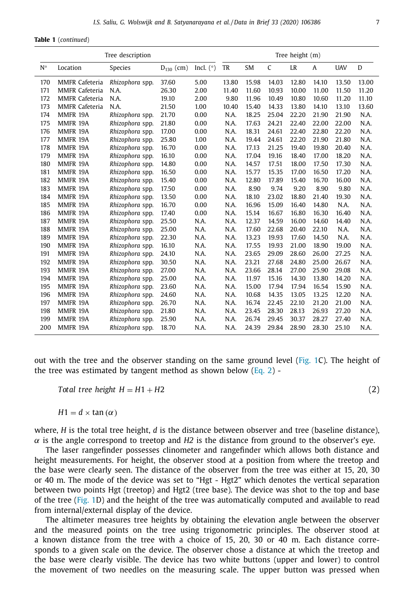**Table 1** (*continued*)

| Tree description |                       |                 |                |             | Tree height (m) |           |       |       |       |            |       |
|------------------|-----------------------|-----------------|----------------|-------------|-----------------|-----------|-------|-------|-------|------------|-------|
| $N^{\circ}$      | Location              | Species         | $D_{130}$ (cm) | Incl. $(°)$ | TR              | <b>SM</b> | C     | LR    | A     | <b>UAV</b> | D     |
| 170              | <b>MMFR</b> Cafeteria | Rhizophora spp. | 37.60          | 5.00        | 13.80           | 15.98     | 14.03 | 12.80 | 14.10 | 13.50      | 13.00 |
| 171              | <b>MMFR</b> Cafeteria | N.A.            | 26.30          | 2.00        | 11.40           | 11.60     | 10.93 | 10.00 | 11.00 | 11.50      | 11.20 |
| 172              | <b>MMFR</b> Cafeteria | N.A.            | 19.10          | 2.00        | 9.80            | 11.96     | 10.49 | 10.80 | 10.60 | 11.20      | 11.10 |
| 173              | <b>MMFR</b> Cafeteria | N.A.            | 21.50          | 1.00        | 10.40           | 15.40     | 14.33 | 13.80 | 14.10 | 13.10      | 13.60 |
| 174              | MMFR 19A              | Rhizophora spp. | 21.70          | 0.00        | N.A.            | 18.25     | 25.04 | 22.20 | 21.90 | 21.90      | N.A.  |
| 175              | MMFR 19A              | Rhizophora spp. | 21.80          | 0.00        | N.A.            | 17.63     | 24.21 | 22.40 | 22.00 | 22.00      | N.A.  |
| 176              | MMFR 19A              | Rhizophora spp. | 17.00          | 0.00        | N.A.            | 18.31     | 24.61 | 22.40 | 22.80 | 22.20      | N.A.  |
| 177              | MMFR 19A              | Rhizophora spp. | 25.80          | 1.00        | N.A.            | 19.44     | 24.61 | 22.20 | 21.90 | 21.80      | N.A.  |
| 178              | MMFR 19A              | Rhizophora spp. | 16.70          | 0.00        | N.A.            | 17.13     | 21.25 | 19.40 | 19.80 | 20.40      | N.A.  |
| 179              | MMFR 19A              | Rhizophora spp. | 16.10          | 0.00        | N.A.            | 17.04     | 19.16 | 18.40 | 17.00 | 18.20      | N.A.  |
| 180              | MMFR 19A              | Rhizophora spp. | 14.80          | 0.00        | N.A.            | 14.57     | 17.51 | 18.00 | 17.50 | 17.30      | N.A.  |
| 181              | MMFR 19A              | Rhizophora spp. | 16.50          | 0.00        | N.A.            | 15.77     | 15.35 | 17.00 | 16.50 | 17.20      | N.A.  |
| 182              | MMFR 19A              | Rhizophora spp. | 15.40          | 0.00        | N.A.            | 12.80     | 17.89 | 15.40 | 16.70 | 16.00      | N.A.  |
| 183              | MMFR 19A              | Rhizophora spp. | 17.50          | 0.00        | N.A.            | 8.90      | 9.74  | 9.20  | 8.90  | 9.80       | N.A.  |
| 184              | MMFR 19A              | Rhizophora spp. | 13.50          | 0.00        | N.A.            | 18.10     | 23.02 | 18.80 | 21.40 | 19.30      | N.A.  |
| 185              | MMFR 19A              | Rhizophora spp. | 16.70          | 0.00        | N.A.            | 16.96     | 15.09 | 16.40 | 14.80 | N.A.       | N.A.  |
| 186              | MMFR 19A              | Rhizophora spp. | 17.40          | 0.00        | N.A.            | 15.14     | 16.67 | 16.80 | 16.30 | 16.40      | N.A.  |
| 187              | MMFR 19A              | Rhizophora spp. | 25.50          | N.A.        | N.A.            | 12.37     | 14.59 | 16.00 | 14.60 | 14.40      | N.A.  |
| 188              | MMFR 19A              | Rhizophora spp. | 25.00          | N.A.        | N.A.            | 17.60     | 22.68 | 20.40 | 22.10 | N.A.       | N.A.  |
| 189              | MMFR 19A              | Rhizophora spp. | 22.30          | N.A.        | N.A.            | 13.23     | 19.93 | 17.60 | 14.50 | N.A.       | N.A.  |
| 190              | MMFR 19A              | Rhizophora spp. | 16.10          | N.A.        | N.A.            | 17.55     | 19.93 | 21.00 | 18.90 | 19.00      | N.A.  |
| 191              | MMFR 19A              | Rhizophora spp. | 24.10          | N.A.        | N.A.            | 23.65     | 29.09 | 28.60 | 26.00 | 27.25      | N.A.  |
| 192              | MMFR 19A              | Rhizophora spp. | 30.50          | N.A.        | N.A.            | 23.21     | 27.68 | 24.80 | 25.00 | 26.67      | N.A.  |
| 193              | MMFR 19A              | Rhizophora spp. | 27.00          | N.A.        | N.A.            | 23.66     | 28.14 | 27.00 | 25.90 | 29.08      | N.A.  |
| 194              | MMFR 19A              | Rhizophora spp. | 25.00          | N.A.        | N.A.            | 11.97     | 15.16 | 14.30 | 13.80 | 14.20      | N.A.  |
| 195              | MMFR 19A              | Rhizophora spp. | 23.60          | N.A.        | N.A.            | 15.00     | 17.94 | 17.94 | 16.54 | 15.90      | N.A.  |
| 196              | MMFR 19A              | Rhizophora spp. | 24.60          | N.A.        | N.A.            | 10.68     | 14.35 | 13.05 | 13.25 | 12.20      | N.A.  |
| 197              | MMFR 19A              | Rhizophora spp. | 26.70          | N.A.        | N.A.            | 16.74     | 22.45 | 22.10 | 21.20 | 21.00      | N.A.  |
| 198              | MMFR 19A              | Rhizophora spp. | 21.80          | N.A.        | N.A.            | 23.45     | 28.30 | 28.13 | 26.93 | 27.20      | N.A.  |
| 199              | MMFR 19A              | Rhizophora spp. | 25.90          | N.A.        | N.A.            | 26.74     | 29.45 | 30.37 | 28.27 | 27.40      | N.A.  |
| 200              | MMFR 19A              | Rhizophora spp. | 18.70          | N.A.        | N.A.            | 24.39     | 29.84 | 28.90 | 28.30 | 25.10      | N.A.  |

out with the tree and the observer standing on the same ground level [\(Fig.](#page-7-0) 1C). The height of the tree was estimated by tangent method as shown below  $(Eq, 2)$  -

 $Total tree height H = H1 + H2$  (2)

 $H1 = d \times \tan(\alpha)$ 

where, *H* is the total tree height, *d* is the distance between observer and tree (baseline distance),  $\alpha$  is the angle correspond to treetop and *H2* is the distance from ground to the observer's eye.

The laser rangefinder possesses clinometer and rangefinder which allows both distance and height measurements. For height, the observer stood at a position from where the treetop and the base were clearly seen. The distance of the observer from the tree was either at 15, 20, 30 or 40 m. The mode of the device was set to "Hgt - Hgt2" which denotes the vertical separation between two points Hgt (treetop) and Hgt2 (tree base). The device was shot to the top and base of the tree [\(Fig.](#page-7-0) 1D) and the height of the tree was automatically computed and available to read from internal/external display of the device.

The altimeter measures tree heights by obtaining the elevation angle between the observer and the measured points on the tree using trigonometric principles. The observer stood at a known distance from the tree with a choice of 15, 20, 30 or 40 m. Each distance corresponds to a given scale on the device. The observer chose a distance at which the treetop and the base were clearly visible. The device has two white buttons (upper and lower) to control the movement of two needles on the measuring scale. The upper button was pressed when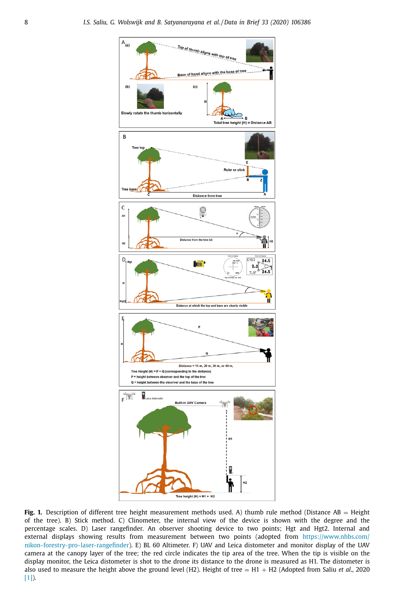<span id="page-7-0"></span>

**Fig. 1.** Description of different tree height measurement methods used. A) thumb rule method (Distance AB = Height of the tree). B) Stick method. C) Clinometer, the internal view of the device is shown with the degree and the percentage scales. D) Laser rangefinder. An observer shooting device to two points; Hgt and Hgt2. Internal and external displays showing results from measurement between two points (adopted from https://www.nhbs.com/ [nikon-forestry-pro-laser-rangefinder\).](https://www.nhbs.com/nikon-forestry-pro-laser-rangefinder) E) BL 60 Altimeter. F) UAV and Leica distometer and monitor display of the UAV camera at the canopy layer of the tree; the red circle indicates the tip area of the tree. When the tip is visible on the display monitor, the Leica distometer is shot to the drone its distance to the drone is measured as H1. The distometer is also used to measure the height above the ground level (H2). Height of tree = H1 + H2 (Adopted from Saliu *et al*., 2020  $[1]$ ).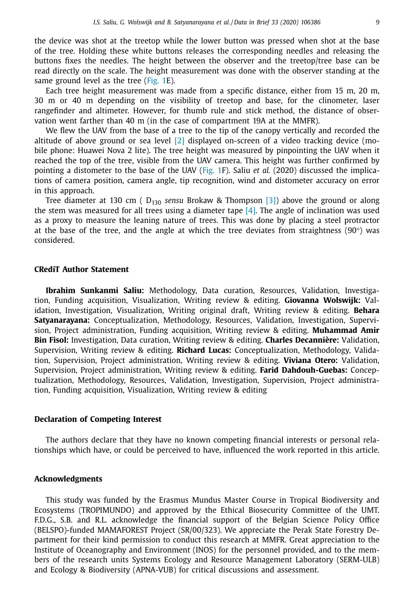the device was shot at the treetop while the lower button was pressed when shot at the base of the tree. Holding these white buttons releases the corresponding needles and releasing the buttons fixes the needles. The height between the observer and the treetop/tree base can be read directly on the scale. The height measurement was done with the observer standing at the same ground level as the tree [\(Fig.](#page-7-0) 1E).

Each tree height measurement was made from a specific distance, either from 15 m, 20 m, 30 m or 40 m depending on the visibility of treetop and base, for the clinometer, laser rangefinder and altimeter. However, for thumb rule and stick method, the distance of observation went farther than 40 m (in the case of compartment 19A at the MMFR).

We flew the UAV from the base of a tree to the tip of the canopy vertically and recorded the altitude of above ground or sea level  $[2]$  displayed on-screen of a video tracking device (mobile phone: Huawei Nova 2 lite). The tree height was measured by pinpointing the UAV when it reached the top of the tree, visible from the UAV camera. This height was further confirmed by pointing a distometer to the base of the UAV [\(Fig.](#page-7-0) 1F). Saliu *et al.* (2020) discussed the implications of camera position, camera angle, tip recognition, wind and distometer accuracy on error in this approach.

Tree diameter at 130 cm ( $D_{130}$  *sensu* Brokaw & Thompson [\[3\]\)](#page-9-0) above the ground or along the stem was measured for all trees using a diameter tape  $[4]$ . The angle of inclination was used as a proxy to measure the leaning nature of trees. This was done by placing a steel protractor at the base of the tree, and the angle at which the tree deviates from straightness ( $90^\circ$ ) was considered.

#### **CRediT Author Statement**

**Ibrahim Sunkanmi Saliu:** Methodology, Data curation, Resources, Validation, Investigation, Funding acquisition, Visualization, Writing review & editing. **Giovanna Wolswijk:** Validation, Investigation, Visualization, Writing original draft, Writing review & editing. **Behara Satyanarayana:** Conceptualization, Methodology, Resources, Validation, Investigation, Supervision, Project administration, Funding acquisition, Writing review & editing. **Muhammad Amir Bin Fisol:** Investigation, Data curation, Writing review & editing. **Charles Decannière:** Validation, Supervision, Writing review & editing. **Richard Lucas:** Conceptualization, Methodology, Validation, Supervision, Project administration, Writing review & editing. **Viviana Otero:** Validation, Supervision, Project administration, Writing review & editing. **Farid Dahdouh-Guebas:** Conceptualization, Methodology, Resources, Validation, Investigation, Supervision, Project administration, Funding acquisition, Visualization, Writing review & editing

#### **Declaration of Competing Interest**

The authors declare that they have no known competing financial interests or personal relationships which have, or could be perceived to have, influenced the work reported in this article.

#### **Acknowledgments**

This study was funded by the Erasmus Mundus Master Course in Tropical Biodiversity and Ecosystems (TROPIMUNDO) and approved by the Ethical Biosecurity Committee of the UMT. F.D.G., S.B. and R.L. acknowledge the financial support of the Belgian Science Policy Office (BELSPO)-funded MAMAFOREST Project (SR/00/323). We appreciate the Perak State Forestry Department for their kind permission to conduct this research at MMFR. Great appreciation to the Institute of Oceanography and Environment (INOS) for the personnel provided, and to the members of the research units Systems Ecology and Resource Management Laboratory (SERM-ULB) and Ecology & Biodiversity (APNA-VUB) for critical discussions and assessment.